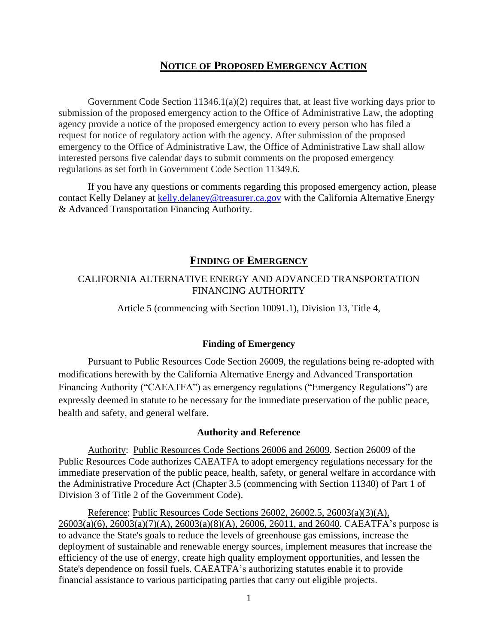# **NOTICE OF PROPOSED EMERGENCY ACTION**

Government Code Section  $11346.1(a)(2)$  requires that, at least five working days prior to submission of the proposed emergency action to the Office of Administrative Law, the adopting agency provide a notice of the proposed emergency action to every person who has filed a request for notice of regulatory action with the agency. After submission of the proposed emergency to the Office of Administrative Law, the Office of Administrative Law shall allow interested persons five calendar days to submit comments on the proposed emergency regulations as set forth in Government Code Section 11349.6.

If you have any questions or comments regarding this proposed emergency action, please contact Kelly Delaney at [kelly.delaney@treasurer.ca.gov](mailto:kelly.delaney@treasurer.ca.gov) with the California Alternative Energy & Advanced Transportation Financing Authority.

### **FINDING OF EMERGENCY**

# CALIFORNIA ALTERNATIVE ENERGY AND ADVANCED TRANSPORTATION FINANCING AUTHORITY

Article 5 (commencing with Section 10091.1), Division 13, Title 4,

#### **Finding of Emergency**

Pursuant to Public Resources Code Section 26009, the regulations being re-adopted with modifications herewith by the California Alternative Energy and Advanced Transportation Financing Authority ("CAEATFA") as emergency regulations ("Emergency Regulations") are expressly deemed in statute to be necessary for the immediate preservation of the public peace, health and safety, and general welfare.

#### **Authority and Reference**

Authority: Public Resources Code Sections 26006 and 26009. Section 26009 of the Public Resources Code authorizes CAEATFA to adopt emergency regulations necessary for the immediate preservation of the public peace, health, safety, or general welfare in accordance with the Administrative Procedure Act (Chapter 3.5 (commencing with Section 11340) of Part 1 of Division 3 of Title 2 of the Government Code).

Reference: Public Resources Code Sections 26002, 26002.5, 26003(a)(3)(A), 26003(a)(6), 26003(a)(7)(A), 26003(a)(8)(A), 26006, 26011, and 26040. CAEATFA's purpose is to advance the State's goals to reduce the levels of greenhouse gas emissions, increase the deployment of sustainable and renewable energy sources, implement measures that increase the efficiency of the use of energy, create high quality employment opportunities, and lessen the State's dependence on fossil fuels. CAEATFA's authorizing statutes enable it to provide financial assistance to various participating parties that carry out eligible projects.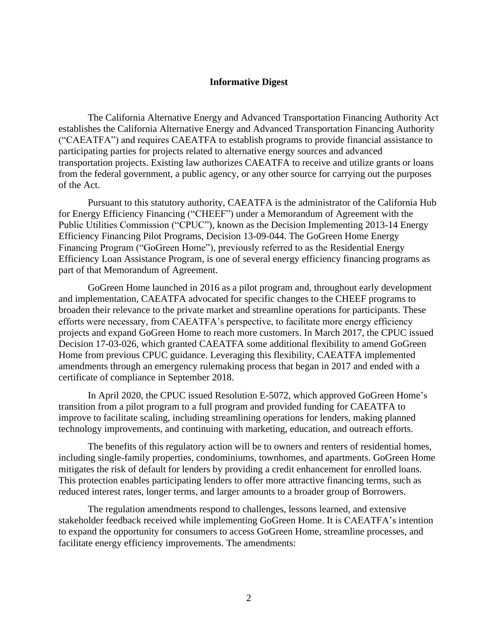#### **Informative Digest**

The California Alternative Energy and Advanced Transportation Financing Authority Act establishes the California Alternative Energy and Advanced Transportation Financing Authority ("CAEATFA") and requires CAEATFA to establish programs to provide financial assistance to participating parties for projects related to alternative energy sources and advanced transportation projects. Existing law authorizes CAEATFA to receive and utilize grants or loans from the federal government, a public agency, or any other source for carrying out the purposes of the Act.

Pursuant to this statutory authority, CAEATFA is the administrator of the California Hub for Energy Efficiency Financing ("CHEEF") under a Memorandum of Agreement with the Public Utilities Commission ("CPUC"), known as the Decision Implementing 2013-14 Energy Efficiency Financing Pilot Programs, Decision 13-09-044. The GoGreen Home Energy Financing Program ("GoGreen Home"), previously referred to as the Residential Energy Efficiency Loan Assistance Program, is one of several energy efficiency financing programs as part of that Memorandum of Agreement.

GoGreen Home launched in 2016 as a pilot program and, throughout early development and implementation, CAEATFA advocated for specific changes to the CHEEF programs to broaden their relevance to the private market and streamline operations for participants. These efforts were necessary, from CAEATFA's perspective, to facilitate more energy efficiency projects and expand GoGreen Home to reach more customers. In March 2017, the CPUC issued Decision 17-03-026, which granted CAEATFA some additional flexibility to amend GoGreen Home from previous CPUC guidance. Leveraging this flexibility, CAEATFA implemented amendments through an emergency rulemaking process that began in 2017 and ended with a certificate of compliance in September 2018.

In April 2020, the CPUC issued Resolution E-5072, which approved GoGreen Home's transition from a pilot program to a full program and provided funding for CAEATFA to improve to facilitate scaling, including streamlining operations for lenders, making planned technology improvements, and continuing with marketing, education, and outreach efforts.

The benefits of this regulatory action will be to owners and renters of residential homes, including single-family properties, condominiums, townhomes, and apartments. GoGreen Home mitigates the risk of default for lenders by providing a credit enhancement for enrolled loans. This protection enables participating lenders to offer more attractive financing terms, such as reduced interest rates, longer terms, and larger amounts to a broader group of Borrowers.

The regulation amendments respond to challenges, lessons learned, and extensive stakeholder feedback received while implementing GoGreen Home. It is CAEATFA's intention to expand the opportunity for consumers to access GoGreen Home, streamline processes, and facilitate energy efficiency improvements. The amendments: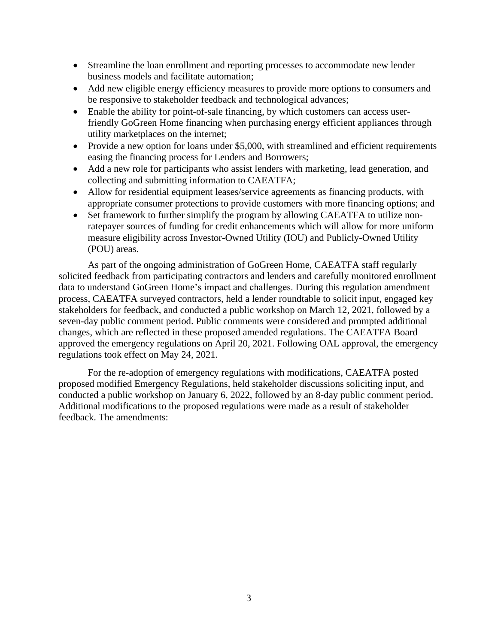- Streamline the loan enrollment and reporting processes to accommodate new lender business models and facilitate automation;
- Add new eligible energy efficiency measures to provide more options to consumers and be responsive to stakeholder feedback and technological advances;
- Enable the ability for point-of-sale financing, by which customers can access userfriendly GoGreen Home financing when purchasing energy efficient appliances through utility marketplaces on the internet;
- Provide a new option for loans under \$5,000, with streamlined and efficient requirements easing the financing process for Lenders and Borrowers;
- Add a new role for participants who assist lenders with marketing, lead generation, and collecting and submitting information to CAEATFA;
- Allow for residential equipment leases/service agreements as financing products, with appropriate consumer protections to provide customers with more financing options; and
- Set framework to further simplify the program by allowing CAEATFA to utilize nonratepayer sources of funding for credit enhancements which will allow for more uniform measure eligibility across Investor-Owned Utility (IOU) and Publicly-Owned Utility (POU) areas.

As part of the ongoing administration of GoGreen Home, CAEATFA staff regularly solicited feedback from participating contractors and lenders and carefully monitored enrollment data to understand GoGreen Home's impact and challenges. During this regulation amendment process, CAEATFA surveyed contractors, held a lender roundtable to solicit input, engaged key stakeholders for feedback, and conducted a public workshop on March 12, 2021, followed by a seven-day public comment period. Public comments were considered and prompted additional changes, which are reflected in these proposed amended regulations. The CAEATFA Board approved the emergency regulations on April 20, 2021. Following OAL approval, the emergency regulations took effect on May 24, 2021.

For the re-adoption of emergency regulations with modifications, CAEATFA posted proposed modified Emergency Regulations, held stakeholder discussions soliciting input, and conducted a public workshop on January 6, 2022, followed by an 8-day public comment period. Additional modifications to the proposed regulations were made as a result of stakeholder feedback. The amendments: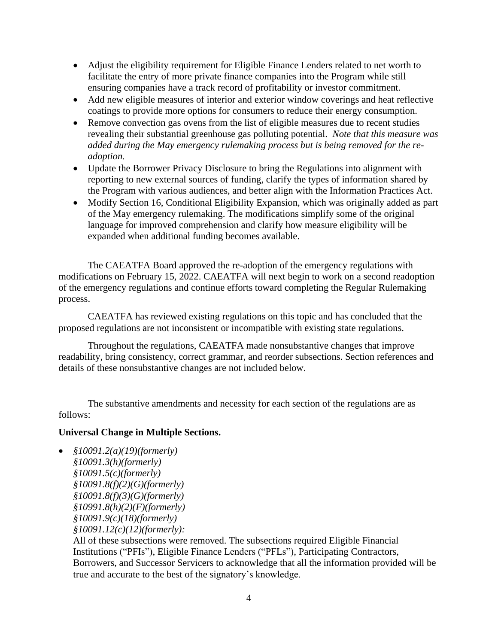- Adjust the eligibility requirement for Eligible Finance Lenders related to net worth to facilitate the entry of more private finance companies into the Program while still ensuring companies have a track record of profitability or investor commitment.
- Add new eligible measures of interior and exterior window coverings and heat reflective coatings to provide more options for consumers to reduce their energy consumption.
- Remove convection gas ovens from the list of eligible measures due to recent studies revealing their substantial greenhouse gas polluting potential. *Note that this measure was added during the May emergency rulemaking process but is being removed for the readoption.*
- Update the Borrower Privacy Disclosure to bring the Regulations into alignment with reporting to new external sources of funding, clarify the types of information shared by the Program with various audiences, and better align with the Information Practices Act.
- Modify Section 16, Conditional Eligibility Expansion, which was originally added as part of the May emergency rulemaking. The modifications simplify some of the original language for improved comprehension and clarify how measure eligibility will be expanded when additional funding becomes available.

The CAEATFA Board approved the re-adoption of the emergency regulations with modifications on February 15, 2022. CAEATFA will next begin to work on a second readoption of the emergency regulations and continue efforts toward completing the Regular Rulemaking process.

CAEATFA has reviewed existing regulations on this topic and has concluded that the proposed regulations are not inconsistent or incompatible with existing state regulations.

Throughout the regulations, CAEATFA made nonsubstantive changes that improve readability, bring consistency, correct grammar, and reorder subsections. Section references and details of these nonsubstantive changes are not included below.

The substantive amendments and necessity for each section of the regulations are as follows:

#### **Universal Change in Multiple Sections.**

• *§10091.2(a)(19)(formerly) §10091.3(h)(formerly) §10091.5(c)(formerly) §10091.8(f)(2)(G)(formerly) §10091.8(f)(3)(G)(formerly) §10991.8(h)(2)(F)(formerly) §10091.9(c)(18)(formerly) §10091.12(c)(12)(formerly):*

All of these subsections were removed. The subsections required Eligible Financial Institutions ("PFIs"), Eligible Finance Lenders ("PFLs"), Participating Contractors, Borrowers, and Successor Servicers to acknowledge that all the information provided will be true and accurate to the best of the signatory's knowledge.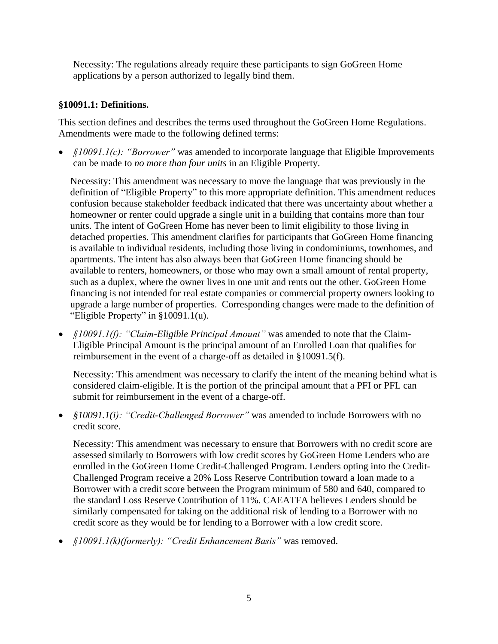Necessity: The regulations already require these participants to sign GoGreen Home applications by a person authorized to legally bind them.

## **§10091.1: Definitions.**

This section defines and describes the terms used throughout the GoGreen Home Regulations. Amendments were made to the following defined terms:

• *§10091.1(c): "Borrower"* was amended to incorporate language that Eligible Improvements can be made to *no more than four units* in an Eligible Property.

Necessity: This amendment was necessary to move the language that was previously in the definition of "Eligible Property" to this more appropriate definition. This amendment reduces confusion because stakeholder feedback indicated that there was uncertainty about whether a homeowner or renter could upgrade a single unit in a building that contains more than four units. The intent of GoGreen Home has never been to limit eligibility to those living in detached properties. This amendment clarifies for participants that GoGreen Home financing is available to individual residents, including those living in condominiums, townhomes, and apartments. The intent has also always been that GoGreen Home financing should be available to renters, homeowners, or those who may own a small amount of rental property, such as a duplex, where the owner lives in one unit and rents out the other. GoGreen Home financing is not intended for real estate companies or commercial property owners looking to upgrade a large number of properties. Corresponding changes were made to the definition of "Eligible Property" in §10091.1(u).

• *§10091.1(f): "Claim-Eligible Principal Amount"* was amended to note that the Claim-Eligible Principal Amount is the principal amount of an Enrolled Loan that qualifies for reimbursement in the event of a charge-off as detailed in §10091.5(f).

Necessity: This amendment was necessary to clarify the intent of the meaning behind what is considered claim-eligible. It is the portion of the principal amount that a PFI or PFL can submit for reimbursement in the event of a charge-off.

• *§10091.1(i): "Credit-Challenged Borrower"* was amended to include Borrowers with no credit score.

Necessity: This amendment was necessary to ensure that Borrowers with no credit score are assessed similarly to Borrowers with low credit scores by GoGreen Home Lenders who are enrolled in the GoGreen Home Credit-Challenged Program. Lenders opting into the Credit-Challenged Program receive a 20% Loss Reserve Contribution toward a loan made to a Borrower with a credit score between the Program minimum of 580 and 640, compared to the standard Loss Reserve Contribution of 11%. CAEATFA believes Lenders should be similarly compensated for taking on the additional risk of lending to a Borrower with no credit score as they would be for lending to a Borrower with a low credit score.

• *§10091.1(k)(formerly): "Credit Enhancement Basis"* was removed.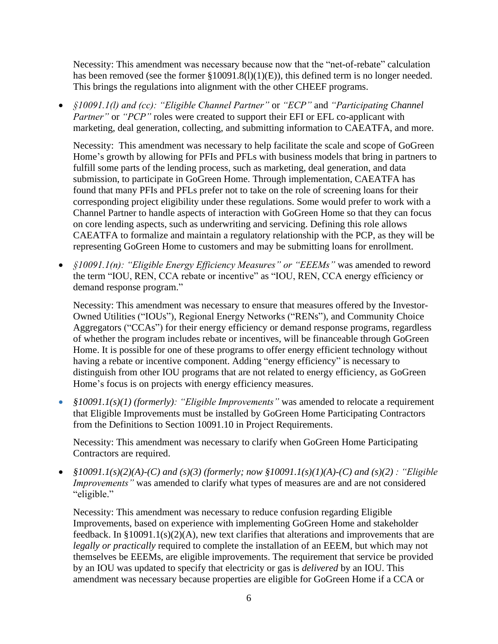Necessity: This amendment was necessary because now that the "net-of-rebate" calculation has been removed (see the former §10091.8(l)(1)(E)), this defined term is no longer needed. This brings the regulations into alignment with the other CHEEF programs.

• *§10091.1(l) and (cc): "Eligible Channel Partner"* or *"ECP"* and *"Participating Channel Partner*" or "*PCP*" roles were created to support their EFI or EFL co-applicant with marketing, deal generation, collecting, and submitting information to CAEATFA, and more.

Necessity: This amendment was necessary to help facilitate the scale and scope of GoGreen Home's growth by allowing for PFIs and PFLs with business models that bring in partners to fulfill some parts of the lending process, such as marketing, deal generation, and data submission, to participate in GoGreen Home. Through implementation, CAEATFA has found that many PFIs and PFLs prefer not to take on the role of screening loans for their corresponding project eligibility under these regulations. Some would prefer to work with a Channel Partner to handle aspects of interaction with GoGreen Home so that they can focus on core lending aspects, such as underwriting and servicing. Defining this role allows CAEATFA to formalize and maintain a regulatory relationship with the PCP, as they will be representing GoGreen Home to customers and may be submitting loans for enrollment.

• *§10091.1(n): "Eligible Energy Efficiency Measures" or "EEEMs"* was amended to reword the term "IOU, REN, CCA rebate or incentive" as "IOU, REN, CCA energy efficiency or demand response program."

Necessity: This amendment was necessary to ensure that measures offered by the Investor-Owned Utilities ("IOUs"), Regional Energy Networks ("RENs"), and Community Choice Aggregators ("CCAs") for their energy efficiency or demand response programs, regardless of whether the program includes rebate or incentives, will be financeable through GoGreen Home. It is possible for one of these programs to offer energy efficient technology without having a rebate or incentive component. Adding "energy efficiency" is necessary to distinguish from other IOU programs that are not related to energy efficiency, as GoGreen Home's focus is on projects with energy efficiency measures.

• *§10091.1(s)(1) (formerly): "Eligible Improvements"* was amended to relocate a requirement that Eligible Improvements must be installed by GoGreen Home Participating Contractors from the Definitions to Section 10091.10 in Project Requirements.

Necessity: This amendment was necessary to clarify when GoGreen Home Participating Contractors are required.

• *§10091.1(s)(2)(A)-(C) and (s)(3) (formerly; now §10091.1(s)(1)(A)-(C) and (s)(2) : "Eligible Improvements"* was amended to clarify what types of measures are and are not considered "eligible."

Necessity: This amendment was necessary to reduce confusion regarding Eligible Improvements, based on experience with implementing GoGreen Home and stakeholder feedback. In §10091.1(s)(2)(A), new text clarifies that alterations and improvements that are *legally or practically* required to complete the installation of an EEEM, but which may not themselves be EEEMs, are eligible improvements. The requirement that service be provided by an IOU was updated to specify that electricity or gas is *delivered* by an IOU. This amendment was necessary because properties are eligible for GoGreen Home if a CCA or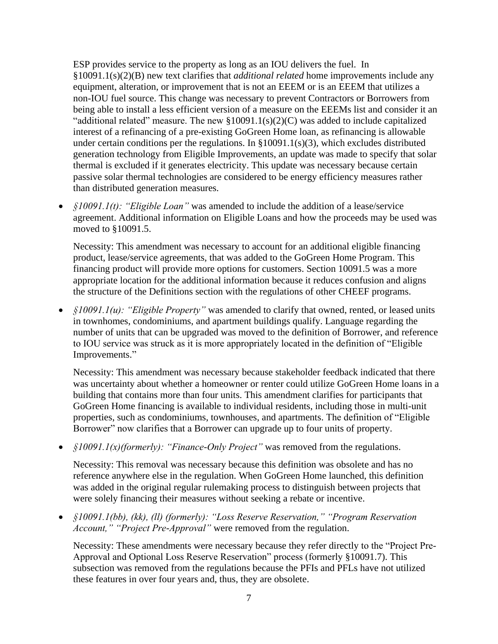ESP provides service to the property as long as an IOU delivers the fuel. In §10091.1(s)(2)(B) new text clarifies that *additional related* home improvements include any equipment, alteration, or improvement that is not an EEEM or is an EEEM that utilizes a non-IOU fuel source. This change was necessary to prevent Contractors or Borrowers from being able to install a less efficient version of a measure on the EEEMs list and consider it an "additional related" measure. The new  $$10091.1(s)(2)(C)$  was added to include capitalized interest of a refinancing of a pre-existing GoGreen Home loan, as refinancing is allowable under certain conditions per the regulations. In §10091.1(s)(3), which excludes distributed generation technology from Eligible Improvements, an update was made to specify that solar thermal is excluded if it generates electricity. This update was necessary because certain passive solar thermal technologies are considered to be energy efficiency measures rather than distributed generation measures.

• *§10091.1(t): "Eligible Loan"* was amended to include the addition of a lease/service agreement. Additional information on Eligible Loans and how the proceeds may be used was moved to §10091.5.

Necessity: This amendment was necessary to account for an additional eligible financing product, lease/service agreements, that was added to the GoGreen Home Program. This financing product will provide more options for customers. Section 10091.5 was a more appropriate location for the additional information because it reduces confusion and aligns the structure of the Definitions section with the regulations of other CHEEF programs.

• *§10091.1(u): "Eligible Property"* was amended to clarify that owned, rented, or leased units in townhomes, condominiums, and apartment buildings qualify. Language regarding the number of units that can be upgraded was moved to the definition of Borrower, and reference to IOU service was struck as it is more appropriately located in the definition of "Eligible Improvements."

Necessity: This amendment was necessary because stakeholder feedback indicated that there was uncertainty about whether a homeowner or renter could utilize GoGreen Home loans in a building that contains more than four units. This amendment clarifies for participants that GoGreen Home financing is available to individual residents, including those in multi-unit properties, such as condominiums, townhouses, and apartments. The definition of "Eligible Borrower" now clarifies that a Borrower can upgrade up to four units of property.

• *§10091.1(x)(formerly): "Finance-Only Project"* was removed from the regulations.

Necessity: This removal was necessary because this definition was obsolete and has no reference anywhere else in the regulation. When GoGreen Home launched, this definition was added in the original regular rulemaking process to distinguish between projects that were solely financing their measures without seeking a rebate or incentive.

• *§10091.1(bb), (kk), (ll) (formerly): "Loss Reserve Reservation," "Program Reservation Account," "Project Pre-Approval"* were removed from the regulation.

Necessity: These amendments were necessary because they refer directly to the "Project Pre-Approval and Optional Loss Reserve Reservation" process (formerly §10091.7). This subsection was removed from the regulations because the PFIs and PFLs have not utilized these features in over four years and, thus, they are obsolete.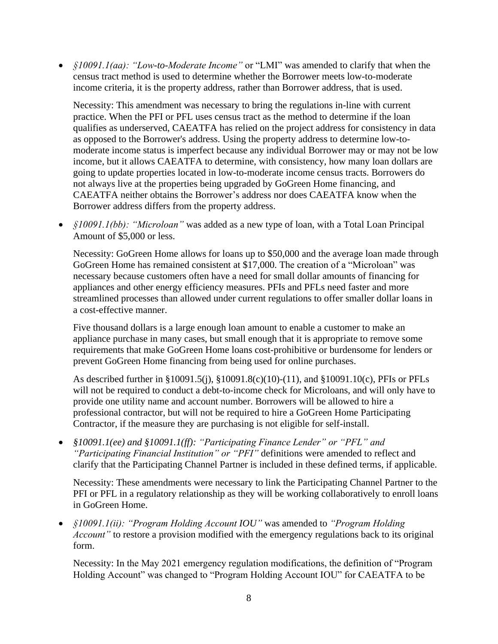• *§10091.1(aa): "Low-to-Moderate Income"* or "LMI" was amended to clarify that when the census tract method is used to determine whether the Borrower meets low-to-moderate income criteria, it is the property address, rather than Borrower address, that is used.

Necessity: This amendment was necessary to bring the regulations in-line with current practice. When the PFI or PFL uses census tract as the method to determine if the loan qualifies as underserved, CAEATFA has relied on the project address for consistency in data as opposed to the Borrower's address. Using the property address to determine low-tomoderate income status is imperfect because any individual Borrower may or may not be low income, but it allows CAEATFA to determine, with consistency, how many loan dollars are going to update properties located in low-to-moderate income census tracts. Borrowers do not always live at the properties being upgraded by GoGreen Home financing, and CAEATFA neither obtains the Borrower's address nor does CAEATFA know when the Borrower address differs from the property address.

• *§10091.1(bb): "Microloan"* was added as a new type of loan, with a Total Loan Principal Amount of \$5,000 or less.

Necessity: GoGreen Home allows for loans up to \$50,000 and the average loan made through GoGreen Home has remained consistent at \$17,000. The creation of a "Microloan" was necessary because customers often have a need for small dollar amounts of financing for appliances and other energy efficiency measures. PFIs and PFLs need faster and more streamlined processes than allowed under current regulations to offer smaller dollar loans in a cost-effective manner.

Five thousand dollars is a large enough loan amount to enable a customer to make an appliance purchase in many cases, but small enough that it is appropriate to remove some requirements that make GoGreen Home loans cost-prohibitive or burdensome for lenders or prevent GoGreen Home financing from being used for online purchases.

As described further in §10091.5(j), §10091.8(c)(10)-(11), and §10091.10(c), PFIs or PFLs will not be required to conduct a debt-to-income check for Microloans, and will only have to provide one utility name and account number. Borrowers will be allowed to hire a professional contractor, but will not be required to hire a GoGreen Home Participating Contractor, if the measure they are purchasing is not eligible for self-install.

• *§10091.1(ee) and §10091.1(ff): "Participating Finance Lender" or "PFL" and "Participating Financial Institution" or "PFI"* definitions were amended to reflect and clarify that the Participating Channel Partner is included in these defined terms, if applicable.

Necessity: These amendments were necessary to link the Participating Channel Partner to the PFI or PFL in a regulatory relationship as they will be working collaboratively to enroll loans in GoGreen Home.

• *§10091.1(ii): "Program Holding Account IOU"* was amended to *"Program Holding Account"* to restore a provision modified with the emergency regulations back to its original form.

Necessity: In the May 2021 emergency regulation modifications, the definition of "Program Holding Account" was changed to "Program Holding Account IOU" for CAEATFA to be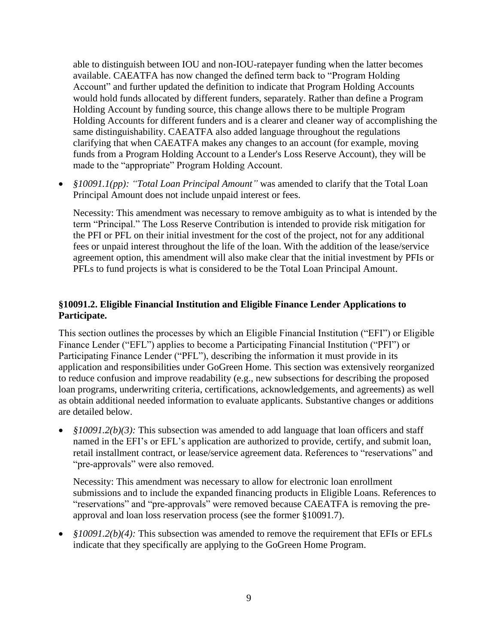able to distinguish between IOU and non-IOU-ratepayer funding when the latter becomes available. CAEATFA has now changed the defined term back to "Program Holding Account" and further updated the definition to indicate that Program Holding Accounts would hold funds allocated by different funders, separately. Rather than define a Program Holding Account by funding source, this change allows there to be multiple Program Holding Accounts for different funders and is a clearer and cleaner way of accomplishing the same distinguishability. CAEATFA also added language throughout the regulations clarifying that when CAEATFA makes any changes to an account (for example, moving funds from a Program Holding Account to a Lender's Loss Reserve Account), they will be made to the "appropriate" Program Holding Account.

• *§10091.1(pp): "Total Loan Principal Amount"* was amended to clarify that the Total Loan Principal Amount does not include unpaid interest or fees.

Necessity: This amendment was necessary to remove ambiguity as to what is intended by the term "Principal." The Loss Reserve Contribution is intended to provide risk mitigation for the PFI or PFL on their initial investment for the cost of the project, not for any additional fees or unpaid interest throughout the life of the loan. With the addition of the lease/service agreement option, this amendment will also make clear that the initial investment by PFIs or PFLs to fund projects is what is considered to be the Total Loan Principal Amount.

# **§10091.2. Eligible Financial Institution and Eligible Finance Lender Applications to Participate.**

This section outlines the processes by which an Eligible Financial Institution ("EFI") or Eligible Finance Lender ("EFL") applies to become a Participating Financial Institution ("PFI") or Participating Finance Lender ("PFL"), describing the information it must provide in its application and responsibilities under GoGreen Home. This section was extensively reorganized to reduce confusion and improve readability (e.g., new subsections for describing the proposed loan programs, underwriting criteria, certifications, acknowledgements, and agreements) as well as obtain additional needed information to evaluate applicants. Substantive changes or additions are detailed below.

• *§10091.2(b)(3):* This subsection was amended to add language that loan officers and staff named in the EFI's or EFL's application are authorized to provide, certify, and submit loan, retail installment contract, or lease/service agreement data. References to "reservations" and "pre-approvals" were also removed.

Necessity: This amendment was necessary to allow for electronic loan enrollment submissions and to include the expanded financing products in Eligible Loans. References to "reservations" and "pre-approvals" were removed because CAEATFA is removing the preapproval and loan loss reservation process (see the former §10091.7).

• *§10091.2(b)(4):* This subsection was amended to remove the requirement that EFIs or EFLs indicate that they specifically are applying to the GoGreen Home Program.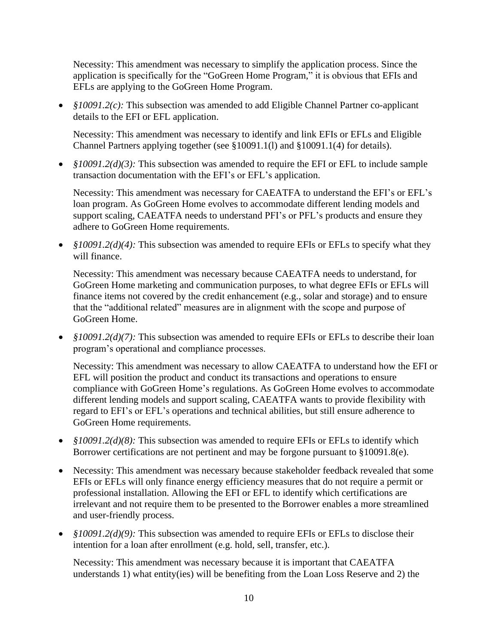Necessity: This amendment was necessary to simplify the application process. Since the application is specifically for the "GoGreen Home Program," it is obvious that EFIs and EFLs are applying to the GoGreen Home Program.

• *§10091.2(c):* This subsection was amended to add Eligible Channel Partner co-applicant details to the EFI or EFL application.

Necessity: This amendment was necessary to identify and link EFIs or EFLs and Eligible Channel Partners applying together (see  $\S 10091.1(1)$  and  $\S 10091.1(4)$  for details).

• *§10091.2(d)(3):* This subsection was amended to require the EFI or EFL to include sample transaction documentation with the EFI's or EFL's application.

Necessity: This amendment was necessary for CAEATFA to understand the EFI's or EFL's loan program. As GoGreen Home evolves to accommodate different lending models and support scaling, CAEATFA needs to understand PFI's or PFL's products and ensure they adhere to GoGreen Home requirements.

• *§10091.2(d)(4):* This subsection was amended to require EFIs or EFLs to specify what they will finance.

Necessity: This amendment was necessary because CAEATFA needs to understand, for GoGreen Home marketing and communication purposes, to what degree EFIs or EFLs will finance items not covered by the credit enhancement (e.g., solar and storage) and to ensure that the "additional related" measures are in alignment with the scope and purpose of GoGreen Home.

• *§10091.2(d)(7):* This subsection was amended to require EFIs or EFLs to describe their loan program's operational and compliance processes.

Necessity: This amendment was necessary to allow CAEATFA to understand how the EFI or EFL will position the product and conduct its transactions and operations to ensure compliance with GoGreen Home's regulations. As GoGreen Home evolves to accommodate different lending models and support scaling, CAEATFA wants to provide flexibility with regard to EFI's or EFL's operations and technical abilities, but still ensure adherence to GoGreen Home requirements.

- *§10091.2(d)(8):* This subsection was amended to require EFIs or EFLs to identify which Borrower certifications are not pertinent and may be forgone pursuant to §10091.8(e).
- Necessity: This amendment was necessary because stakeholder feedback revealed that some EFIs or EFLs will only finance energy efficiency measures that do not require a permit or professional installation. Allowing the EFI or EFL to identify which certifications are irrelevant and not require them to be presented to the Borrower enables a more streamlined and user-friendly process.
- *§10091.2(d)(9):* This subsection was amended to require EFIs or EFLs to disclose their intention for a loan after enrollment (e.g. hold, sell, transfer, etc.).

Necessity: This amendment was necessary because it is important that CAEATFA understands 1) what entity(ies) will be benefiting from the Loan Loss Reserve and 2) the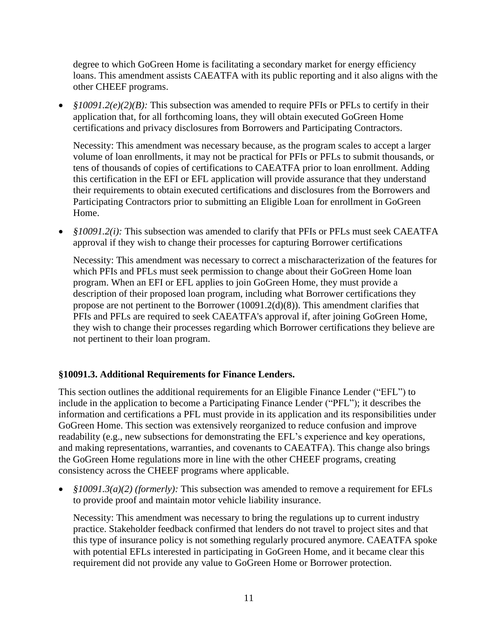degree to which GoGreen Home is facilitating a secondary market for energy efficiency loans. This amendment assists CAEATFA with its public reporting and it also aligns with the other CHEEF programs.

• *§10091.2(e)(2)(B):* This subsection was amended to require PFIs or PFLs to certify in their application that, for all forthcoming loans, they will obtain executed GoGreen Home certifications and privacy disclosures from Borrowers and Participating Contractors.

Necessity: This amendment was necessary because, as the program scales to accept a larger volume of loan enrollments, it may not be practical for PFIs or PFLs to submit thousands, or tens of thousands of copies of certifications to CAEATFA prior to loan enrollment. Adding this certification in the EFI or EFL application will provide assurance that they understand their requirements to obtain executed certifications and disclosures from the Borrowers and Participating Contractors prior to submitting an Eligible Loan for enrollment in GoGreen Home.

• *§10091.2(i):* This subsection was amended to clarify that PFIs or PFLs must seek CAEATFA approval if they wish to change their processes for capturing Borrower certifications

Necessity: This amendment was necessary to correct a mischaracterization of the features for which PFIs and PFLs must seek permission to change about their GoGreen Home loan program. When an EFI or EFL applies to join GoGreen Home, they must provide a description of their proposed loan program, including what Borrower certifications they propose are not pertinent to the Borrower (10091.2(d)(8)). This amendment clarifies that PFIs and PFLs are required to seek CAEATFA's approval if, after joining GoGreen Home, they wish to change their processes regarding which Borrower certifications they believe are not pertinent to their loan program.

# **§10091.3. Additional Requirements for Finance Lenders.**

This section outlines the additional requirements for an Eligible Finance Lender ("EFL") to include in the application to become a Participating Finance Lender ("PFL"); it describes the information and certifications a PFL must provide in its application and its responsibilities under GoGreen Home. This section was extensively reorganized to reduce confusion and improve readability (e.g., new subsections for demonstrating the EFL's experience and key operations, and making representations, warranties, and covenants to CAEATFA). This change also brings the GoGreen Home regulations more in line with the other CHEEF programs, creating consistency across the CHEEF programs where applicable.

• *§10091.3(a)(2) (formerly):* This subsection was amended to remove a requirement for EFLs to provide proof and maintain motor vehicle liability insurance.

Necessity: This amendment was necessary to bring the regulations up to current industry practice. Stakeholder feedback confirmed that lenders do not travel to project sites and that this type of insurance policy is not something regularly procured anymore. CAEATFA spoke with potential EFLs interested in participating in GoGreen Home, and it became clear this requirement did not provide any value to GoGreen Home or Borrower protection.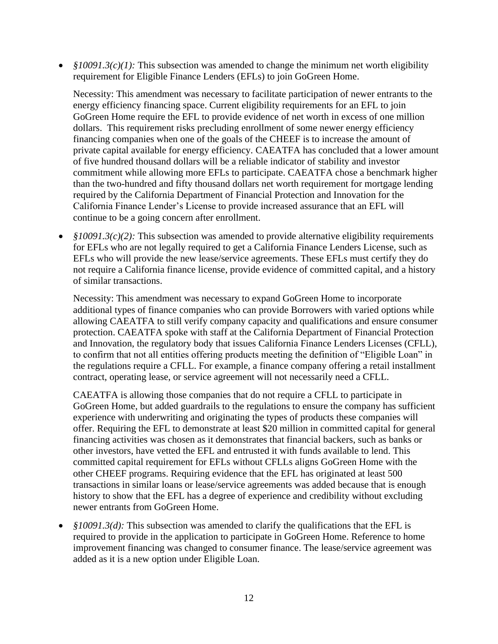• *§10091.3(c)(1):* This subsection was amended to change the minimum net worth eligibility requirement for Eligible Finance Lenders (EFLs) to join GoGreen Home.

Necessity: This amendment was necessary to facilitate participation of newer entrants to the energy efficiency financing space. Current eligibility requirements for an EFL to join GoGreen Home require the EFL to provide evidence of net worth in excess of one million dollars. This requirement risks precluding enrollment of some newer energy efficiency financing companies when one of the goals of the CHEEF is to increase the amount of private capital available for energy efficiency. CAEATFA has concluded that a lower amount of five hundred thousand dollars will be a reliable indicator of stability and investor commitment while allowing more EFLs to participate. CAEATFA chose a benchmark higher than the two-hundred and fifty thousand dollars net worth requirement for mortgage lending required by the California Department of Financial Protection and Innovation for the California Finance Lender's License to provide increased assurance that an EFL will continue to be a going concern after enrollment.

• *§10091.3(c)(2):* This subsection was amended to provide alternative eligibility requirements for EFLs who are not legally required to get a California Finance Lenders License, such as EFLs who will provide the new lease/service agreements. These EFLs must certify they do not require a California finance license, provide evidence of committed capital, and a history of similar transactions.

Necessity: This amendment was necessary to expand GoGreen Home to incorporate additional types of finance companies who can provide Borrowers with varied options while allowing CAEATFA to still verify company capacity and qualifications and ensure consumer protection. CAEATFA spoke with staff at the California Department of Financial Protection and Innovation, the regulatory body that issues California Finance Lenders Licenses (CFLL), to confirm that not all entities offering products meeting the definition of "Eligible Loan" in the regulations require a CFLL. For example, a finance company offering a retail installment contract, operating lease, or service agreement will not necessarily need a CFLL.

CAEATFA is allowing those companies that do not require a CFLL to participate in GoGreen Home, but added guardrails to the regulations to ensure the company has sufficient experience with underwriting and originating the types of products these companies will offer. Requiring the EFL to demonstrate at least \$20 million in committed capital for general financing activities was chosen as it demonstrates that financial backers, such as banks or other investors, have vetted the EFL and entrusted it with funds available to lend. This committed capital requirement for EFLs without CFLLs aligns GoGreen Home with the other CHEEF programs. Requiring evidence that the EFL has originated at least 500 transactions in similar loans or lease/service agreements was added because that is enough history to show that the EFL has a degree of experience and credibility without excluding newer entrants from GoGreen Home.

• *§10091.3(d):* This subsection was amended to clarify the qualifications that the EFL is required to provide in the application to participate in GoGreen Home. Reference to home improvement financing was changed to consumer finance. The lease/service agreement was added as it is a new option under Eligible Loan.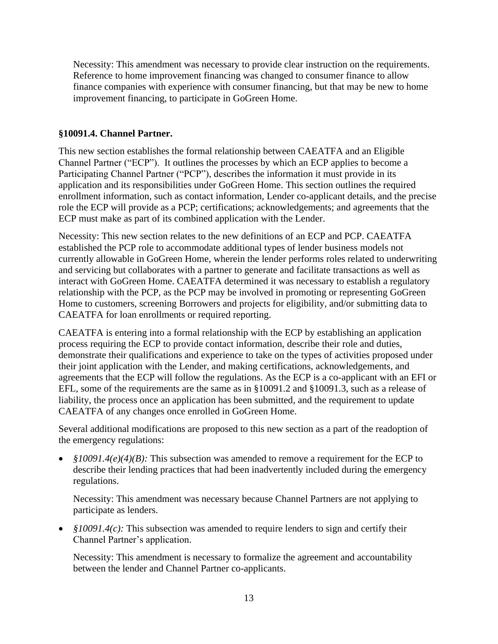Necessity: This amendment was necessary to provide clear instruction on the requirements. Reference to home improvement financing was changed to consumer finance to allow finance companies with experience with consumer financing, but that may be new to home improvement financing, to participate in GoGreen Home.

### **§10091.4. Channel Partner.**

This new section establishes the formal relationship between CAEATFA and an Eligible Channel Partner ("ECP"). It outlines the processes by which an ECP applies to become a Participating Channel Partner ("PCP"), describes the information it must provide in its application and its responsibilities under GoGreen Home. This section outlines the required enrollment information, such as contact information, Lender co-applicant details, and the precise role the ECP will provide as a PCP; certifications; acknowledgements; and agreements that the ECP must make as part of its combined application with the Lender.

Necessity: This new section relates to the new definitions of an ECP and PCP. CAEATFA established the PCP role to accommodate additional types of lender business models not currently allowable in GoGreen Home, wherein the lender performs roles related to underwriting and servicing but collaborates with a partner to generate and facilitate transactions as well as interact with GoGreen Home. CAEATFA determined it was necessary to establish a regulatory relationship with the PCP, as the PCP may be involved in promoting or representing GoGreen Home to customers, screening Borrowers and projects for eligibility, and/or submitting data to CAEATFA for loan enrollments or required reporting.

CAEATFA is entering into a formal relationship with the ECP by establishing an application process requiring the ECP to provide contact information, describe their role and duties, demonstrate their qualifications and experience to take on the types of activities proposed under their joint application with the Lender, and making certifications, acknowledgements, and agreements that the ECP will follow the regulations. As the ECP is a co-applicant with an EFI or EFL, some of the requirements are the same as in §10091.2 and §10091.3, such as a release of liability, the process once an application has been submitted, and the requirement to update CAEATFA of any changes once enrolled in GoGreen Home.

Several additional modifications are proposed to this new section as a part of the readoption of the emergency regulations:

• *§10091.4(e)(4)(B):* This subsection was amended to remove a requirement for the ECP to describe their lending practices that had been inadvertently included during the emergency regulations.

Necessity: This amendment was necessary because Channel Partners are not applying to participate as lenders.

• *§10091.4(c)*: This subsection was amended to require lenders to sign and certify their Channel Partner's application.

Necessity: This amendment is necessary to formalize the agreement and accountability between the lender and Channel Partner co-applicants.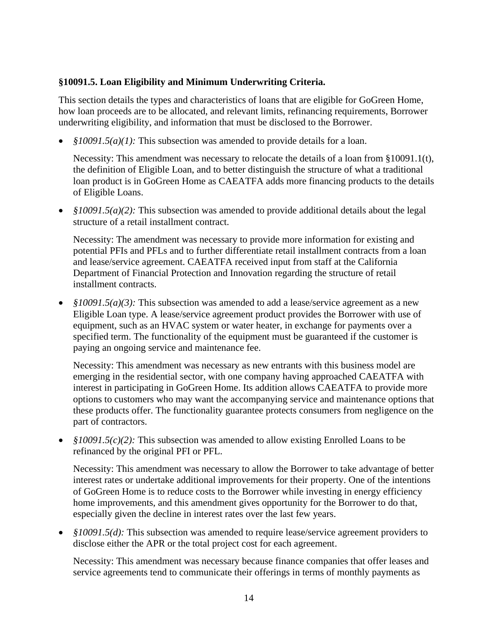### **§10091.5. Loan Eligibility and Minimum Underwriting Criteria.**

This section details the types and characteristics of loans that are eligible for GoGreen Home, how loan proceeds are to be allocated, and relevant limits, refinancing requirements, Borrower underwriting eligibility, and information that must be disclosed to the Borrower.

• *§10091.5(a)(1):* This subsection was amended to provide details for a loan.

Necessity: This amendment was necessary to relocate the details of a loan from §10091.1(t), the definition of Eligible Loan, and to better distinguish the structure of what a traditional loan product is in GoGreen Home as CAEATFA adds more financing products to the details of Eligible Loans.

• *§10091.5(a)(2):* This subsection was amended to provide additional details about the legal structure of a retail installment contract.

Necessity: The amendment was necessary to provide more information for existing and potential PFIs and PFLs and to further differentiate retail installment contracts from a loan and lease/service agreement. CAEATFA received input from staff at the California Department of Financial Protection and Innovation regarding the structure of retail installment contracts.

• *§10091.5(a)(3):* This subsection was amended to add a lease/service agreement as a new Eligible Loan type. A lease/service agreement product provides the Borrower with use of equipment, such as an HVAC system or water heater, in exchange for payments over a specified term. The functionality of the equipment must be guaranteed if the customer is paying an ongoing service and maintenance fee.

Necessity: This amendment was necessary as new entrants with this business model are emerging in the residential sector, with one company having approached CAEATFA with interest in participating in GoGreen Home. Its addition allows CAEATFA to provide more options to customers who may want the accompanying service and maintenance options that these products offer. The functionality guarantee protects consumers from negligence on the part of contractors.

• *§10091.5(c)(2):* This subsection was amended to allow existing Enrolled Loans to be refinanced by the original PFI or PFL.

Necessity: This amendment was necessary to allow the Borrower to take advantage of better interest rates or undertake additional improvements for their property. One of the intentions of GoGreen Home is to reduce costs to the Borrower while investing in energy efficiency home improvements, and this amendment gives opportunity for the Borrower to do that, especially given the decline in interest rates over the last few years.

• *§10091.5(d):* This subsection was amended to require lease/service agreement providers to disclose either the APR or the total project cost for each agreement.

Necessity: This amendment was necessary because finance companies that offer leases and service agreements tend to communicate their offerings in terms of monthly payments as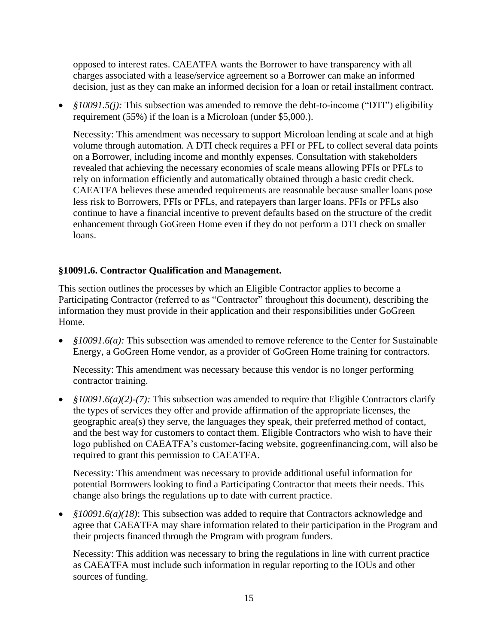opposed to interest rates. CAEATFA wants the Borrower to have transparency with all charges associated with a lease/service agreement so a Borrower can make an informed decision, just as they can make an informed decision for a loan or retail installment contract.

• *§10091.5(j):* This subsection was amended to remove the debt-to-income ("DTI") eligibility requirement (55%) if the loan is a Microloan (under \$5,000.).

Necessity: This amendment was necessary to support Microloan lending at scale and at high volume through automation. A DTI check requires a PFI or PFL to collect several data points on a Borrower, including income and monthly expenses. Consultation with stakeholders revealed that achieving the necessary economies of scale means allowing PFIs or PFLs to rely on information efficiently and automatically obtained through a basic credit check. CAEATFA believes these amended requirements are reasonable because smaller loans pose less risk to Borrowers, PFIs or PFLs, and ratepayers than larger loans. PFIs or PFLs also continue to have a financial incentive to prevent defaults based on the structure of the credit enhancement through GoGreen Home even if they do not perform a DTI check on smaller loans.

# **§10091.6. Contractor Qualification and Management.**

This section outlines the processes by which an Eligible Contractor applies to become a Participating Contractor (referred to as "Contractor" throughout this document), describing the information they must provide in their application and their responsibilities under GoGreen Home.

• *§10091.6(a):* This subsection was amended to remove reference to the Center for Sustainable Energy, a GoGreen Home vendor, as a provider of GoGreen Home training for contractors.

Necessity: This amendment was necessary because this vendor is no longer performing contractor training.

• *§10091.6(a)(2)-(7):* This subsection was amended to require that Eligible Contractors clarify the types of services they offer and provide affirmation of the appropriate licenses, the geographic area(s) they serve, the languages they speak, their preferred method of contact, and the best way for customers to contact them. Eligible Contractors who wish to have their logo published on CAEATFA's customer-facing website, gogreenfinancing.com, will also be required to grant this permission to CAEATFA.

Necessity: This amendment was necessary to provide additional useful information for potential Borrowers looking to find a Participating Contractor that meets their needs. This change also brings the regulations up to date with current practice.

• *§10091.6(a)(18)*: This subsection was added to require that Contractors acknowledge and agree that CAEATFA may share information related to their participation in the Program and their projects financed through the Program with program funders.

Necessity: This addition was necessary to bring the regulations in line with current practice as CAEATFA must include such information in regular reporting to the IOUs and other sources of funding.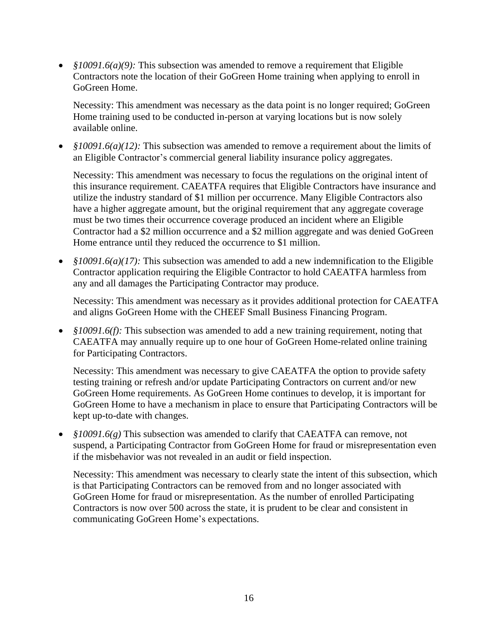• *§10091.6(a)(9):* This subsection was amended to remove a requirement that Eligible Contractors note the location of their GoGreen Home training when applying to enroll in GoGreen Home.

Necessity: This amendment was necessary as the data point is no longer required; GoGreen Home training used to be conducted in-person at varying locations but is now solely available online.

• *§10091.6(a)(12):* This subsection was amended to remove a requirement about the limits of an Eligible Contractor's commercial general liability insurance policy aggregates.

Necessity: This amendment was necessary to focus the regulations on the original intent of this insurance requirement. CAEATFA requires that Eligible Contractors have insurance and utilize the industry standard of \$1 million per occurrence. Many Eligible Contractors also have a higher aggregate amount, but the original requirement that any aggregate coverage must be two times their occurrence coverage produced an incident where an Eligible Contractor had a \$2 million occurrence and a \$2 million aggregate and was denied GoGreen Home entrance until they reduced the occurrence to \$1 million.

• *§10091.6(a)(17):* This subsection was amended to add a new indemnification to the Eligible Contractor application requiring the Eligible Contractor to hold CAEATFA harmless from any and all damages the Participating Contractor may produce.

Necessity: This amendment was necessary as it provides additional protection for CAEATFA and aligns GoGreen Home with the CHEEF Small Business Financing Program.

• *§10091.6(f):* This subsection was amended to add a new training requirement, noting that CAEATFA may annually require up to one hour of GoGreen Home-related online training for Participating Contractors.

Necessity: This amendment was necessary to give CAEATFA the option to provide safety testing training or refresh and/or update Participating Contractors on current and/or new GoGreen Home requirements. As GoGreen Home continues to develop, it is important for GoGreen Home to have a mechanism in place to ensure that Participating Contractors will be kept up-to-date with changes.

• *§10091.6(g)* This subsection was amended to clarify that CAEATFA can remove, not suspend, a Participating Contractor from GoGreen Home for fraud or misrepresentation even if the misbehavior was not revealed in an audit or field inspection.

Necessity: This amendment was necessary to clearly state the intent of this subsection, which is that Participating Contractors can be removed from and no longer associated with GoGreen Home for fraud or misrepresentation. As the number of enrolled Participating Contractors is now over 500 across the state, it is prudent to be clear and consistent in communicating GoGreen Home's expectations.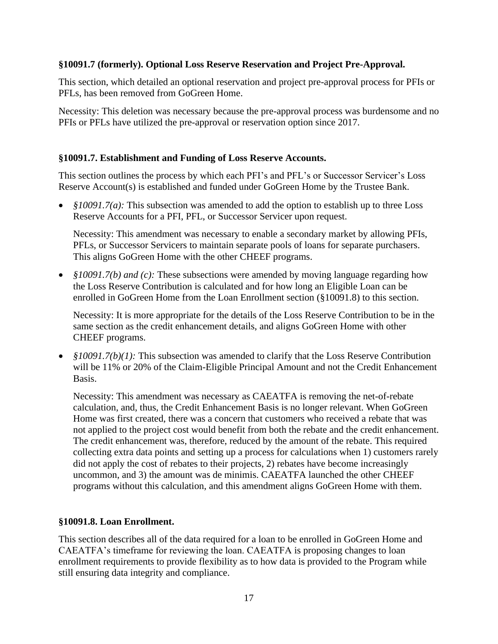## **§10091.7 (formerly). Optional Loss Reserve Reservation and Project Pre-Approval.**

This section, which detailed an optional reservation and project pre-approval process for PFIs or PFLs, has been removed from GoGreen Home.

Necessity: This deletion was necessary because the pre-approval process was burdensome and no PFIs or PFLs have utilized the pre-approval or reservation option since 2017.

#### **§10091.7. Establishment and Funding of Loss Reserve Accounts.**

This section outlines the process by which each PFI's and PFL's or Successor Servicer's Loss Reserve Account(s) is established and funded under GoGreen Home by the Trustee Bank.

• *§10091.7(a):* This subsection was amended to add the option to establish up to three Loss Reserve Accounts for a PFI, PFL, or Successor Servicer upon request.

Necessity: This amendment was necessary to enable a secondary market by allowing PFIs, PFLs, or Successor Servicers to maintain separate pools of loans for separate purchasers. This aligns GoGreen Home with the other CHEEF programs.

• *§10091.7(b) and (c):* These subsections were amended by moving language regarding how the Loss Reserve Contribution is calculated and for how long an Eligible Loan can be enrolled in GoGreen Home from the Loan Enrollment section (§10091.8) to this section.

Necessity: It is more appropriate for the details of the Loss Reserve Contribution to be in the same section as the credit enhancement details, and aligns GoGreen Home with other CHEEF programs.

• *§10091.7(b)(1):* This subsection was amended to clarify that the Loss Reserve Contribution will be 11% or 20% of the Claim-Eligible Principal Amount and not the Credit Enhancement Basis.

Necessity: This amendment was necessary as CAEATFA is removing the net-of-rebate calculation, and, thus, the Credit Enhancement Basis is no longer relevant. When GoGreen Home was first created, there was a concern that customers who received a rebate that was not applied to the project cost would benefit from both the rebate and the credit enhancement. The credit enhancement was, therefore, reduced by the amount of the rebate. This required collecting extra data points and setting up a process for calculations when 1) customers rarely did not apply the cost of rebates to their projects, 2) rebates have become increasingly uncommon, and 3) the amount was de minimis. CAEATFA launched the other CHEEF programs without this calculation, and this amendment aligns GoGreen Home with them.

#### **§10091.8. Loan Enrollment.**

This section describes all of the data required for a loan to be enrolled in GoGreen Home and CAEATFA's timeframe for reviewing the loan. CAEATFA is proposing changes to loan enrollment requirements to provide flexibility as to how data is provided to the Program while still ensuring data integrity and compliance.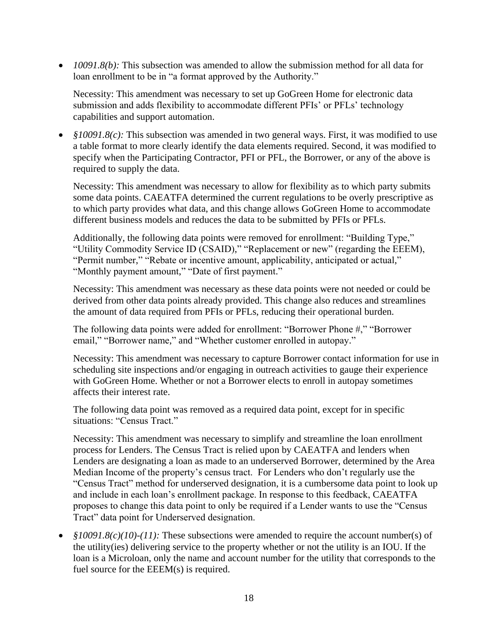• *10091.8(b):* This subsection was amended to allow the submission method for all data for loan enrollment to be in "a format approved by the Authority."

Necessity: This amendment was necessary to set up GoGreen Home for electronic data submission and adds flexibility to accommodate different PFIs' or PFLs' technology capabilities and support automation.

• *§10091.8(c)*: This subsection was amended in two general ways. First, it was modified to use a table format to more clearly identify the data elements required. Second, it was modified to specify when the Participating Contractor, PFI or PFL, the Borrower, or any of the above is required to supply the data.

Necessity: This amendment was necessary to allow for flexibility as to which party submits some data points. CAEATFA determined the current regulations to be overly prescriptive as to which party provides what data, and this change allows GoGreen Home to accommodate different business models and reduces the data to be submitted by PFIs or PFLs.

Additionally, the following data points were removed for enrollment: "Building Type," "Utility Commodity Service ID (CSAID)," "Replacement or new" (regarding the EEEM), "Permit number," "Rebate or incentive amount, applicability, anticipated or actual," "Monthly payment amount," "Date of first payment."

Necessity: This amendment was necessary as these data points were not needed or could be derived from other data points already provided. This change also reduces and streamlines the amount of data required from PFIs or PFLs, reducing their operational burden.

The following data points were added for enrollment: "Borrower Phone #," "Borrower email," "Borrower name," and "Whether customer enrolled in autopay."

Necessity: This amendment was necessary to capture Borrower contact information for use in scheduling site inspections and/or engaging in outreach activities to gauge their experience with GoGreen Home. Whether or not a Borrower elects to enroll in autopay sometimes affects their interest rate.

The following data point was removed as a required data point, except for in specific situations: "Census Tract."

Necessity: This amendment was necessary to simplify and streamline the loan enrollment process for Lenders. The Census Tract is relied upon by CAEATFA and lenders when Lenders are designating a loan as made to an underserved Borrower, determined by the Area Median Income of the property's census tract. For Lenders who don't regularly use the "Census Tract" method for underserved designation, it is a cumbersome data point to look up and include in each loan's enrollment package. In response to this feedback, CAEATFA proposes to change this data point to only be required if a Lender wants to use the "Census Tract" data point for Underserved designation.

• *§10091.8(c)(10)-(11):* These subsections were amended to require the account number(s) of the utility(ies) delivering service to the property whether or not the utility is an IOU. If the loan is a Microloan, only the name and account number for the utility that corresponds to the fuel source for the EEEM(s) is required.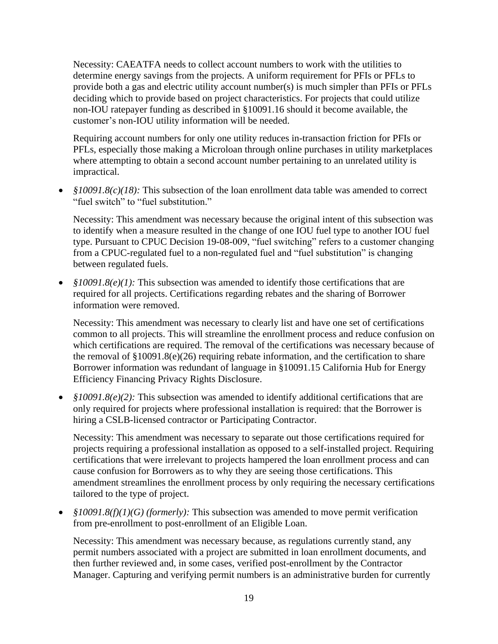Necessity: CAEATFA needs to collect account numbers to work with the utilities to determine energy savings from the projects. A uniform requirement for PFIs or PFLs to provide both a gas and electric utility account number(s) is much simpler than PFIs or PFLs deciding which to provide based on project characteristics. For projects that could utilize non-IOU ratepayer funding as described in §10091.16 should it become available, the customer's non-IOU utility information will be needed.

Requiring account numbers for only one utility reduces in-transaction friction for PFIs or PFLs, especially those making a Microloan through online purchases in utility marketplaces where attempting to obtain a second account number pertaining to an unrelated utility is impractical.

• *§10091.8(c)(18):* This subsection of the loan enrollment data table was amended to correct "fuel switch" to "fuel substitution."

Necessity: This amendment was necessary because the original intent of this subsection was to identify when a measure resulted in the change of one IOU fuel type to another IOU fuel type. Pursuant to CPUC Decision 19-08-009, "fuel switching" refers to a customer changing from a CPUC-regulated fuel to a non-regulated fuel and "fuel substitution" is changing between regulated fuels.

• *§10091.8(e)(1):* This subsection was amended to identify those certifications that are required for all projects. Certifications regarding rebates and the sharing of Borrower information were removed.

Necessity: This amendment was necessary to clearly list and have one set of certifications common to all projects. This will streamline the enrollment process and reduce confusion on which certifications are required. The removal of the certifications was necessary because of the removal of  $\S 10091.8(e)(26)$  requiring rebate information, and the certification to share Borrower information was redundant of language in §10091.15 California Hub for Energy Efficiency Financing Privacy Rights Disclosure.

• *§10091.8(e)(2):* This subsection was amended to identify additional certifications that are only required for projects where professional installation is required: that the Borrower is hiring a CSLB-licensed contractor or Participating Contractor.

Necessity: This amendment was necessary to separate out those certifications required for projects requiring a professional installation as opposed to a self-installed project. Requiring certifications that were irrelevant to projects hampered the loan enrollment process and can cause confusion for Borrowers as to why they are seeing those certifications. This amendment streamlines the enrollment process by only requiring the necessary certifications tailored to the type of project.

• *§10091.8(f)(1)(G) (formerly):* This subsection was amended to move permit verification from pre-enrollment to post-enrollment of an Eligible Loan.

Necessity: This amendment was necessary because, as regulations currently stand, any permit numbers associated with a project are submitted in loan enrollment documents, and then further reviewed and, in some cases, verified post-enrollment by the Contractor Manager. Capturing and verifying permit numbers is an administrative burden for currently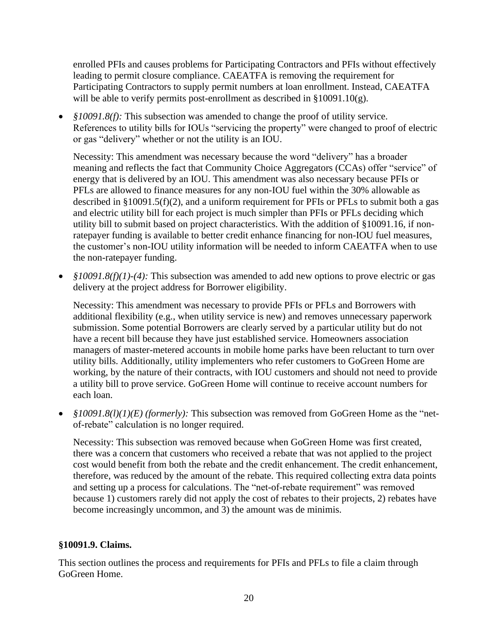enrolled PFIs and causes problems for Participating Contractors and PFIs without effectively leading to permit closure compliance. CAEATFA is removing the requirement for Participating Contractors to supply permit numbers at loan enrollment. Instead, CAEATFA will be able to verify permits post-enrollment as described in §10091.10(g).

• *§10091.8(f)*: This subsection was amended to change the proof of utility service. References to utility bills for IOUs "servicing the property" were changed to proof of electric or gas "delivery" whether or not the utility is an IOU.

Necessity: This amendment was necessary because the word "delivery" has a broader meaning and reflects the fact that Community Choice Aggregators (CCAs) offer "service" of energy that is delivered by an IOU. This amendment was also necessary because PFIs or PFLs are allowed to finance measures for any non-IOU fuel within the 30% allowable as described in §10091.5(f)(2), and a uniform requirement for PFIs or PFLs to submit both a gas and electric utility bill for each project is much simpler than PFIs or PFLs deciding which utility bill to submit based on project characteristics. With the addition of §10091.16, if nonratepayer funding is available to better credit enhance financing for non-IOU fuel measures, the customer's non-IOU utility information will be needed to inform CAEATFA when to use the non-ratepayer funding.

• *§10091.8(f)(1)-(4):* This subsection was amended to add new options to prove electric or gas delivery at the project address for Borrower eligibility.

Necessity: This amendment was necessary to provide PFIs or PFLs and Borrowers with additional flexibility (e.g., when utility service is new) and removes unnecessary paperwork submission. Some potential Borrowers are clearly served by a particular utility but do not have a recent bill because they have just established service. Homeowners association managers of master-metered accounts in mobile home parks have been reluctant to turn over utility bills. Additionally, utility implementers who refer customers to GoGreen Home are working, by the nature of their contracts, with IOU customers and should not need to provide a utility bill to prove service. GoGreen Home will continue to receive account numbers for each loan.

• *§10091.8(l)(1)(E) (formerly):* This subsection was removed from GoGreen Home as the "netof-rebate" calculation is no longer required.

Necessity: This subsection was removed because when GoGreen Home was first created, there was a concern that customers who received a rebate that was not applied to the project cost would benefit from both the rebate and the credit enhancement. The credit enhancement, therefore, was reduced by the amount of the rebate. This required collecting extra data points and setting up a process for calculations. The "net-of-rebate requirement" was removed because 1) customers rarely did not apply the cost of rebates to their projects, 2) rebates have become increasingly uncommon, and 3) the amount was de minimis.

#### **§10091.9. Claims.**

This section outlines the process and requirements for PFIs and PFLs to file a claim through GoGreen Home.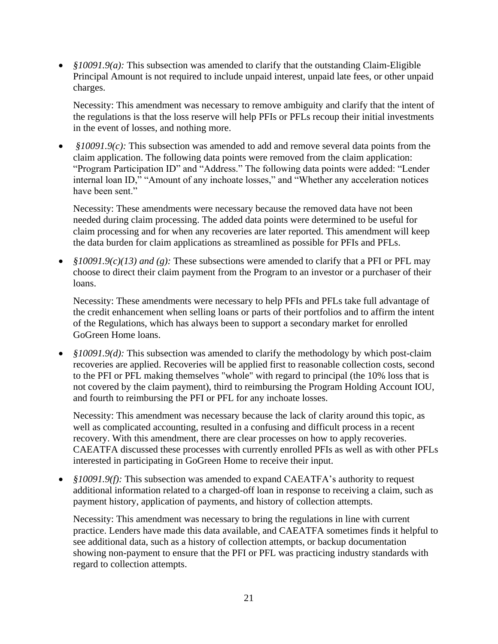• *§10091.9(a):* This subsection was amended to clarify that the outstanding Claim-Eligible Principal Amount is not required to include unpaid interest, unpaid late fees, or other unpaid charges.

Necessity: This amendment was necessary to remove ambiguity and clarify that the intent of the regulations is that the loss reserve will help PFIs or PFLs recoup their initial investments in the event of losses, and nothing more.

• *§10091.9(c):* This subsection was amended to add and remove several data points from the claim application. The following data points were removed from the claim application: "Program Participation ID" and "Address." The following data points were added: "Lender internal loan ID," "Amount of any inchoate losses," and "Whether any acceleration notices have been sent."

Necessity: These amendments were necessary because the removed data have not been needed during claim processing. The added data points were determined to be useful for claim processing and for when any recoveries are later reported. This amendment will keep the data burden for claim applications as streamlined as possible for PFIs and PFLs.

• *§10091.9(c)(13) and (g):* These subsections were amended to clarify that a PFI or PFL may choose to direct their claim payment from the Program to an investor or a purchaser of their loans.

Necessity: These amendments were necessary to help PFIs and PFLs take full advantage of the credit enhancement when selling loans or parts of their portfolios and to affirm the intent of the Regulations, which has always been to support a secondary market for enrolled GoGreen Home loans.

• *§10091.9(d)*: This subsection was amended to clarify the methodology by which post-claim recoveries are applied. Recoveries will be applied first to reasonable collection costs, second to the PFI or PFL making themselves "whole" with regard to principal (the 10% loss that is not covered by the claim payment), third to reimbursing the Program Holding Account IOU, and fourth to reimbursing the PFI or PFL for any inchoate losses.

Necessity: This amendment was necessary because the lack of clarity around this topic, as well as complicated accounting, resulted in a confusing and difficult process in a recent recovery. With this amendment, there are clear processes on how to apply recoveries. CAEATFA discussed these processes with currently enrolled PFIs as well as with other PFLs interested in participating in GoGreen Home to receive their input.

• *§10091.9(f):* This subsection was amended to expand CAEATFA's authority to request additional information related to a charged-off loan in response to receiving a claim, such as payment history, application of payments, and history of collection attempts.

Necessity: This amendment was necessary to bring the regulations in line with current practice. Lenders have made this data available, and CAEATFA sometimes finds it helpful to see additional data, such as a history of collection attempts, or backup documentation showing non-payment to ensure that the PFI or PFL was practicing industry standards with regard to collection attempts.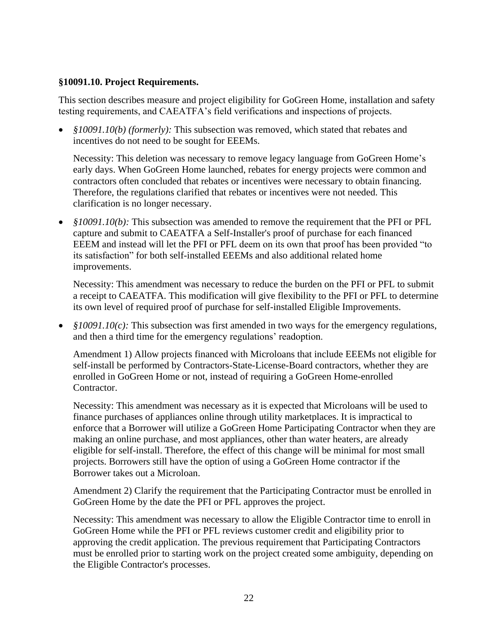#### **§10091.10. Project Requirements.**

This section describes measure and project eligibility for GoGreen Home, installation and safety testing requirements, and CAEATFA's field verifications and inspections of projects.

• *§10091.10(b) (formerly):* This subsection was removed, which stated that rebates and incentives do not need to be sought for EEEMs.

Necessity: This deletion was necessary to remove legacy language from GoGreen Home's early days. When GoGreen Home launched, rebates for energy projects were common and contractors often concluded that rebates or incentives were necessary to obtain financing. Therefore, the regulations clarified that rebates or incentives were not needed. This clarification is no longer necessary.

• *§10091.10(b):* This subsection was amended to remove the requirement that the PFI or PFL capture and submit to CAEATFA a Self-Installer's proof of purchase for each financed EEEM and instead will let the PFI or PFL deem on its own that proof has been provided "to its satisfaction" for both self-installed EEEMs and also additional related home improvements.

Necessity: This amendment was necessary to reduce the burden on the PFI or PFL to submit a receipt to CAEATFA. This modification will give flexibility to the PFI or PFL to determine its own level of required proof of purchase for self-installed Eligible Improvements.

• *§10091.10(c):* This subsection was first amended in two ways for the emergency regulations, and then a third time for the emergency regulations' readoption.

Amendment 1) Allow projects financed with Microloans that include EEEMs not eligible for self-install be performed by Contractors-State-License-Board contractors, whether they are enrolled in GoGreen Home or not, instead of requiring a GoGreen Home-enrolled Contractor.

Necessity: This amendment was necessary as it is expected that Microloans will be used to finance purchases of appliances online through utility marketplaces. It is impractical to enforce that a Borrower will utilize a GoGreen Home Participating Contractor when they are making an online purchase, and most appliances, other than water heaters, are already eligible for self-install. Therefore, the effect of this change will be minimal for most small projects. Borrowers still have the option of using a GoGreen Home contractor if the Borrower takes out a Microloan.

Amendment 2) Clarify the requirement that the Participating Contractor must be enrolled in GoGreen Home by the date the PFI or PFL approves the project.

Necessity: This amendment was necessary to allow the Eligible Contractor time to enroll in GoGreen Home while the PFI or PFL reviews customer credit and eligibility prior to approving the credit application. The previous requirement that Participating Contractors must be enrolled prior to starting work on the project created some ambiguity, depending on the Eligible Contractor's processes.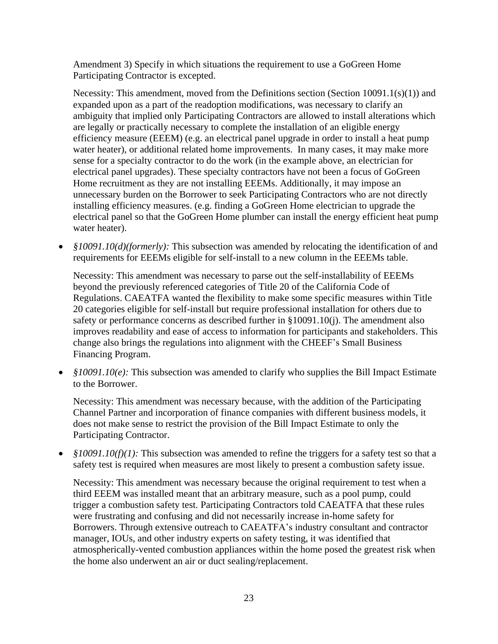Amendment 3) Specify in which situations the requirement to use a GoGreen Home Participating Contractor is excepted.

Necessity: This amendment, moved from the Definitions section (Section 10091.1(s)(1)) and expanded upon as a part of the readoption modifications, was necessary to clarify an ambiguity that implied only Participating Contractors are allowed to install alterations which are legally or practically necessary to complete the installation of an eligible energy efficiency measure (EEEM) (e.g. an electrical panel upgrade in order to install a heat pump water heater), or additional related home improvements. In many cases, it may make more sense for a specialty contractor to do the work (in the example above, an electrician for electrical panel upgrades). These specialty contractors have not been a focus of GoGreen Home recruitment as they are not installing EEEMs. Additionally, it may impose an unnecessary burden on the Borrower to seek Participating Contractors who are not directly installing efficiency measures. (e.g. finding a GoGreen Home electrician to upgrade the electrical panel so that the GoGreen Home plumber can install the energy efficient heat pump water heater).

• *§10091.10(d)(formerly):* This subsection was amended by relocating the identification of and requirements for EEEMs eligible for self-install to a new column in the EEEMs table.

Necessity: This amendment was necessary to parse out the self-installability of EEEMs beyond the previously referenced categories of Title 20 of the California Code of Regulations. CAEATFA wanted the flexibility to make some specific measures within Title 20 categories eligible for self-install but require professional installation for others due to safety or performance concerns as described further in §10091.10(j). The amendment also improves readability and ease of access to information for participants and stakeholders. This change also brings the regulations into alignment with the CHEEF's Small Business Financing Program.

• *§10091.10(e)*: This subsection was amended to clarify who supplies the Bill Impact Estimate to the Borrower.

Necessity: This amendment was necessary because, with the addition of the Participating Channel Partner and incorporation of finance companies with different business models, it does not make sense to restrict the provision of the Bill Impact Estimate to only the Participating Contractor.

• *§10091.10(f)(1):* This subsection was amended to refine the triggers for a safety test so that a safety test is required when measures are most likely to present a combustion safety issue.

Necessity: This amendment was necessary because the original requirement to test when a third EEEM was installed meant that an arbitrary measure, such as a pool pump, could trigger a combustion safety test. Participating Contractors told CAEATFA that these rules were frustrating and confusing and did not necessarily increase in-home safety for Borrowers. Through extensive outreach to CAEATFA's industry consultant and contractor manager, IOUs, and other industry experts on safety testing, it was identified that atmospherically-vented combustion appliances within the home posed the greatest risk when the home also underwent an air or duct sealing/replacement.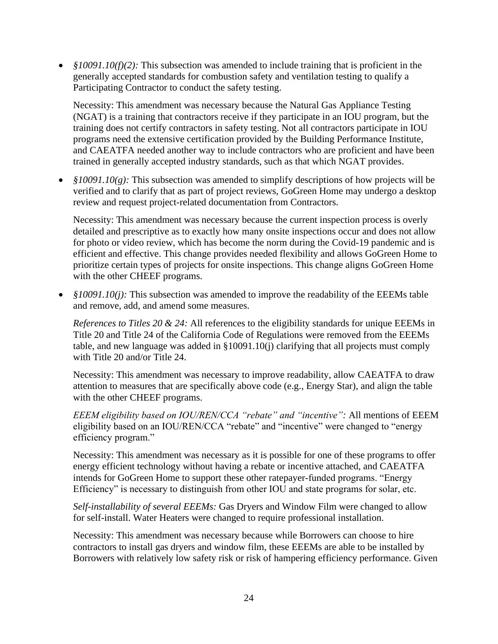• *§10091.10(f)(2):* This subsection was amended to include training that is proficient in the generally accepted standards for combustion safety and ventilation testing to qualify a Participating Contractor to conduct the safety testing.

Necessity: This amendment was necessary because the Natural Gas Appliance Testing (NGAT) is a training that contractors receive if they participate in an IOU program, but the training does not certify contractors in safety testing. Not all contractors participate in IOU programs need the extensive certification provided by the Building Performance Institute, and CAEATFA needed another way to include contractors who are proficient and have been trained in generally accepted industry standards, such as that which NGAT provides.

• *§10091.10(g)*: This subsection was amended to simplify descriptions of how projects will be verified and to clarify that as part of project reviews, GoGreen Home may undergo a desktop review and request project-related documentation from Contractors.

Necessity: This amendment was necessary because the current inspection process is overly detailed and prescriptive as to exactly how many onsite inspections occur and does not allow for photo or video review, which has become the norm during the Covid-19 pandemic and is efficient and effective. This change provides needed flexibility and allows GoGreen Home to prioritize certain types of projects for onsite inspections. This change aligns GoGreen Home with the other CHEEF programs.

• *§10091.10(j):* This subsection was amended to improve the readability of the EEEMs table and remove, add, and amend some measures.

*References to Titles 20 & 24:* All references to the eligibility standards for unique EEEMs in Title 20 and Title 24 of the California Code of Regulations were removed from the EEEMs table, and new language was added in §10091.10(j) clarifying that all projects must comply with Title 20 and/or Title 24.

Necessity: This amendment was necessary to improve readability, allow CAEATFA to draw attention to measures that are specifically above code (e.g., Energy Star), and align the table with the other CHEEF programs.

*EEEM eligibility based on IOU/REN/CCA "rebate" and "incentive":* All mentions of EEEM eligibility based on an IOU/REN/CCA "rebate" and "incentive" were changed to "energy efficiency program."

Necessity: This amendment was necessary as it is possible for one of these programs to offer energy efficient technology without having a rebate or incentive attached, and CAEATFA intends for GoGreen Home to support these other ratepayer-funded programs. "Energy Efficiency" is necessary to distinguish from other IOU and state programs for solar, etc.

*Self-installability of several EEEMs:* Gas Dryers and Window Film were changed to allow for self-install. Water Heaters were changed to require professional installation.

Necessity: This amendment was necessary because while Borrowers can choose to hire contractors to install gas dryers and window film, these EEEMs are able to be installed by Borrowers with relatively low safety risk or risk of hampering efficiency performance. Given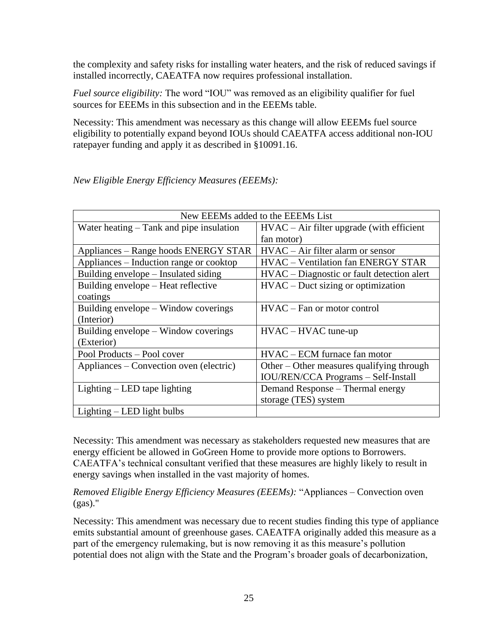the complexity and safety risks for installing water heaters, and the risk of reduced savings if installed incorrectly, CAEATFA now requires professional installation.

*Fuel source eligibility:* The word "IOU" was removed as an eligibility qualifier for fuel sources for EEEMs in this subsection and in the EEEMs table.

Necessity: This amendment was necessary as this change will allow EEEMs fuel source eligibility to potentially expand beyond IOUs should CAEATFA access additional non-IOU ratepayer funding and apply it as described in §10091.16.

| New EEEMs added to the EEEMs List          |                                              |
|--------------------------------------------|----------------------------------------------|
| Water heating $-$ Tank and pipe insulation | $HVAC - Air filter upgrade (with efficient)$ |
|                                            | fan motor)                                   |
| Appliances – Range hoods ENERGY STAR       | $HVAC - Air filter alarm or sensor$          |
| Appliances – Induction range or cooktop    | <b>HVAC</b> – Ventilation fan ENERGY STAR    |
| Building envelope – Insulated siding       | HVAC – Diagnostic or fault detection alert   |
| Building envelope - Heat reflective        | $HVAC - Duct$ sizing or optimization         |
| coatings                                   |                                              |
| Building envelope – Window coverings       | HVAC – Fan or motor control                  |
| (Interior)                                 |                                              |
| Building envelope – Window coverings       | $HVAC - HVAC$ tune-up                        |
| (Exterior)                                 |                                              |
| Pool Products - Pool cover                 | $HVAC - ECM$ furnace fan motor               |
| Appliances – Convection oven (electric)    | Other – Other measures qualifying through    |
|                                            | <b>IOU/REN/CCA Programs - Self-Install</b>   |
| Lighting $-$ LED tape lighting             | Demand Response – Thermal energy             |
|                                            | storage (TES) system                         |
| $Lightharpoonup$ LED light bulbs           |                                              |

*New Eligible Energy Efficiency Measures (EEEMs):*

Necessity: This amendment was necessary as stakeholders requested new measures that are energy efficient be allowed in GoGreen Home to provide more options to Borrowers. CAEATFA's technical consultant verified that these measures are highly likely to result in energy savings when installed in the vast majority of homes.

*Removed Eligible Energy Efficiency Measures (EEEMs):* "Appliances – Convection oven  $(gas)."$ 

Necessity: This amendment was necessary due to recent studies finding this type of appliance emits substantial amount of greenhouse gases. CAEATFA originally added this measure as a part of the emergency rulemaking, but is now removing it as this measure's pollution potential does not align with the State and the Program's broader goals of decarbonization,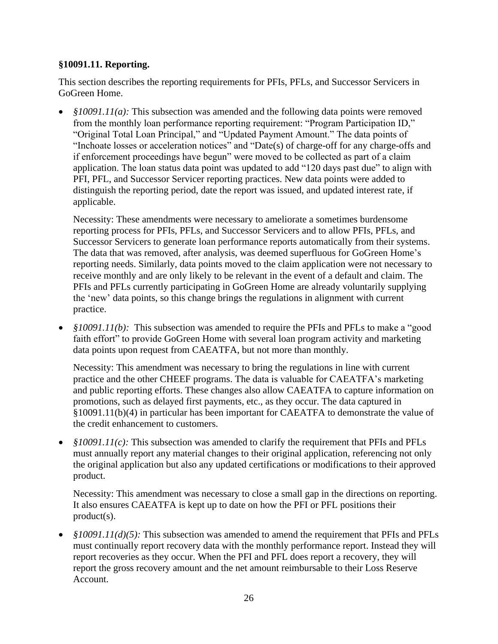### **§10091.11. Reporting.**

This section describes the reporting requirements for PFIs, PFLs, and Successor Servicers in GoGreen Home.

• *§10091.11(a):* This subsection was amended and the following data points were removed from the monthly loan performance reporting requirement: "Program Participation ID," "Original Total Loan Principal," and "Updated Payment Amount." The data points of "Inchoate losses or acceleration notices" and "Date(s) of charge-off for any charge-offs and if enforcement proceedings have begun" were moved to be collected as part of a claim application. The loan status data point was updated to add "120 days past due" to align with PFI, PFL, and Successor Servicer reporting practices. New data points were added to distinguish the reporting period, date the report was issued, and updated interest rate, if applicable.

Necessity: These amendments were necessary to ameliorate a sometimes burdensome reporting process for PFIs, PFLs, and Successor Servicers and to allow PFIs, PFLs, and Successor Servicers to generate loan performance reports automatically from their systems. The data that was removed, after analysis, was deemed superfluous for GoGreen Home's reporting needs. Similarly, data points moved to the claim application were not necessary to receive monthly and are only likely to be relevant in the event of a default and claim. The PFIs and PFLs currently participating in GoGreen Home are already voluntarily supplying the 'new' data points, so this change brings the regulations in alignment with current practice.

• *§10091.11(b)*: This subsection was amended to require the PFIs and PFLs to make a "good faith effort" to provide GoGreen Home with several loan program activity and marketing data points upon request from CAEATFA, but not more than monthly.

Necessity: This amendment was necessary to bring the regulations in line with current practice and the other CHEEF programs. The data is valuable for CAEATFA's marketing and public reporting efforts. These changes also allow CAEATFA to capture information on promotions, such as delayed first payments, etc., as they occur. The data captured in §10091.11(b)(4) in particular has been important for CAEATFA to demonstrate the value of the credit enhancement to customers.

• *§10091.11(c):* This subsection was amended to clarify the requirement that PFIs and PFLs must annually report any material changes to their original application, referencing not only the original application but also any updated certifications or modifications to their approved product.

Necessity: This amendment was necessary to close a small gap in the directions on reporting. It also ensures CAEATFA is kept up to date on how the PFI or PFL positions their product(s).

• *§10091.11(d)(5):* This subsection was amended to amend the requirement that PFIs and PFLs must continually report recovery data with the monthly performance report. Instead they will report recoveries as they occur. When the PFI and PFL does report a recovery, they will report the gross recovery amount and the net amount reimbursable to their Loss Reserve Account.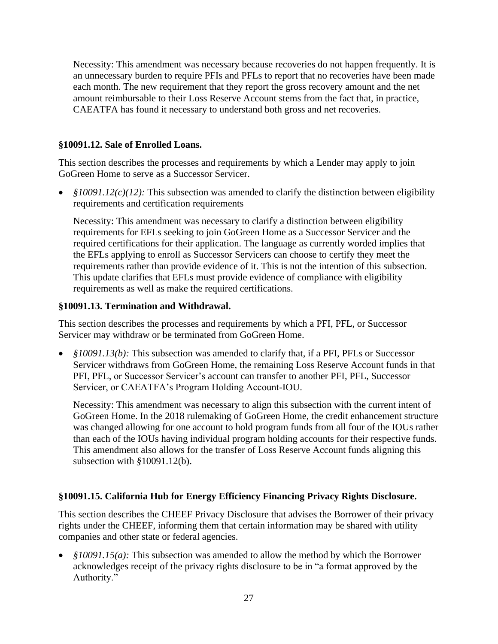Necessity: This amendment was necessary because recoveries do not happen frequently. It is an unnecessary burden to require PFIs and PFLs to report that no recoveries have been made each month. The new requirement that they report the gross recovery amount and the net amount reimbursable to their Loss Reserve Account stems from the fact that, in practice, CAEATFA has found it necessary to understand both gross and net recoveries.

## **§10091.12. Sale of Enrolled Loans.**

This section describes the processes and requirements by which a Lender may apply to join GoGreen Home to serve as a Successor Servicer.

• *§10091.12(c)(12):* This subsection was amended to clarify the distinction between eligibility requirements and certification requirements

Necessity: This amendment was necessary to clarify a distinction between eligibility requirements for EFLs seeking to join GoGreen Home as a Successor Servicer and the required certifications for their application. The language as currently worded implies that the EFLs applying to enroll as Successor Servicers can choose to certify they meet the requirements rather than provide evidence of it. This is not the intention of this subsection. This update clarifies that EFLs must provide evidence of compliance with eligibility requirements as well as make the required certifications.

### **§10091.13. Termination and Withdrawal.**

This section describes the processes and requirements by which a PFI, PFL, or Successor Servicer may withdraw or be terminated from GoGreen Home.

• *§10091.13(b):* This subsection was amended to clarify that, if a PFI, PFLs or Successor Servicer withdraws from GoGreen Home, the remaining Loss Reserve Account funds in that PFI, PFL, or Successor Servicer's account can transfer to another PFI, PFL, Successor Servicer, or CAEATFA's Program Holding Account-IOU.

Necessity: This amendment was necessary to align this subsection with the current intent of GoGreen Home. In the 2018 rulemaking of GoGreen Home, the credit enhancement structure was changed allowing for one account to hold program funds from all four of the IOUs rather than each of the IOUs having individual program holding accounts for their respective funds. This amendment also allows for the transfer of Loss Reserve Account funds aligning this subsection with *§*10091.12(b).

# **§10091.15. California Hub for Energy Efficiency Financing Privacy Rights Disclosure.**

This section describes the CHEEF Privacy Disclosure that advises the Borrower of their privacy rights under the CHEEF, informing them that certain information may be shared with utility companies and other state or federal agencies.

• *§10091.15(a):* This subsection was amended to allow the method by which the Borrower acknowledges receipt of the privacy rights disclosure to be in "a format approved by the Authority."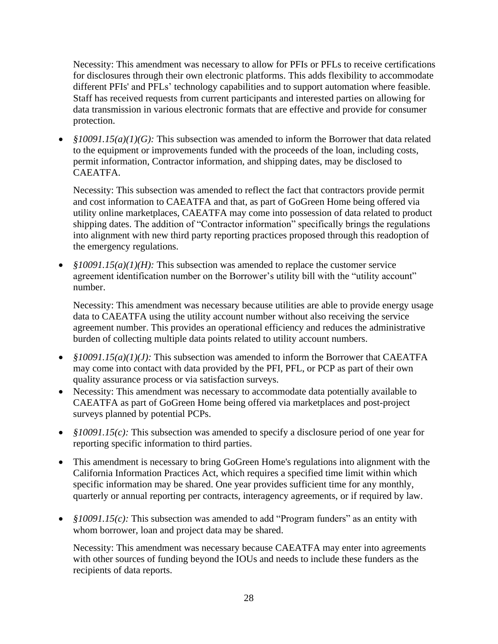Necessity: This amendment was necessary to allow for PFIs or PFLs to receive certifications for disclosures through their own electronic platforms. This adds flexibility to accommodate different PFIs' and PFLs' technology capabilities and to support automation where feasible. Staff has received requests from current participants and interested parties on allowing for data transmission in various electronic formats that are effective and provide for consumer protection.

• *§10091.15(a)(1)(G):* This subsection was amended to inform the Borrower that data related to the equipment or improvements funded with the proceeds of the loan, including costs, permit information, Contractor information, and shipping dates, may be disclosed to CAEATFA.

Necessity: This subsection was amended to reflect the fact that contractors provide permit and cost information to CAEATFA and that, as part of GoGreen Home being offered via utility online marketplaces, CAEATFA may come into possession of data related to product shipping dates. The addition of "Contractor information" specifically brings the regulations into alignment with new third party reporting practices proposed through this readoption of the emergency regulations.

• *§10091.15(a)(1)(H):* This subsection was amended to replace the customer service agreement identification number on the Borrower's utility bill with the "utility account" number.

Necessity: This amendment was necessary because utilities are able to provide energy usage data to CAEATFA using the utility account number without also receiving the service agreement number. This provides an operational efficiency and reduces the administrative burden of collecting multiple data points related to utility account numbers.

- *§10091.15(a)(1)(J):* This subsection was amended to inform the Borrower that CAEATFA may come into contact with data provided by the PFI, PFL, or PCP as part of their own quality assurance process or via satisfaction surveys.
- Necessity: This amendment was necessary to accommodate data potentially available to CAEATFA as part of GoGreen Home being offered via marketplaces and post-project surveys planned by potential PCPs.
- *§10091.15(c)*: This subsection was amended to specify a disclosure period of one year for reporting specific information to third parties.
- This amendment is necessary to bring GoGreen Home's regulations into alignment with the California Information Practices Act, which requires a specified time limit within which specific information may be shared. One year provides sufficient time for any monthly, quarterly or annual reporting per contracts, interagency agreements, or if required by law.
- *§10091.15(c)*: This subsection was amended to add "Program funders" as an entity with whom borrower, loan and project data may be shared.

Necessity: This amendment was necessary because CAEATFA may enter into agreements with other sources of funding beyond the IOUs and needs to include these funders as the recipients of data reports.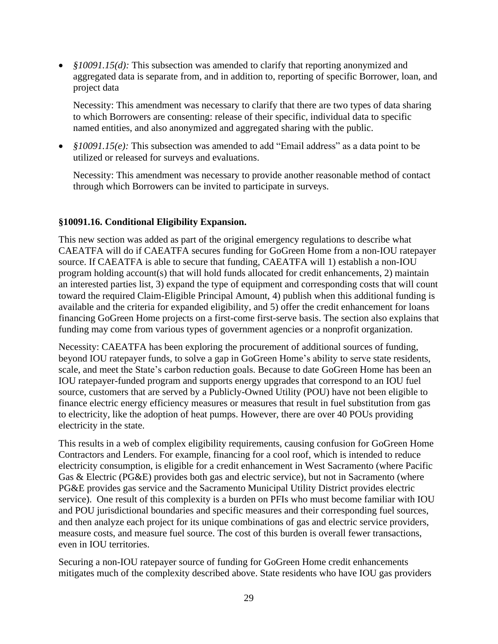• *§10091.15(d)*: This subsection was amended to clarify that reporting anonymized and aggregated data is separate from, and in addition to, reporting of specific Borrower, loan, and project data

Necessity: This amendment was necessary to clarify that there are two types of data sharing to which Borrowers are consenting: release of their specific, individual data to specific named entities, and also anonymized and aggregated sharing with the public.

• *§10091.15(e)*: This subsection was amended to add "Email address" as a data point to be utilized or released for surveys and evaluations.

Necessity: This amendment was necessary to provide another reasonable method of contact through which Borrowers can be invited to participate in surveys.

### **§10091.16. Conditional Eligibility Expansion.**

This new section was added as part of the original emergency regulations to describe what CAEATFA will do if CAEATFA secures funding for GoGreen Home from a non-IOU ratepayer source. If CAEATFA is able to secure that funding, CAEATFA will 1) establish a non-IOU program holding account(s) that will hold funds allocated for credit enhancements, 2) maintain an interested parties list, 3) expand the type of equipment and corresponding costs that will count toward the required Claim-Eligible Principal Amount, 4) publish when this additional funding is available and the criteria for expanded eligibility, and 5) offer the credit enhancement for loans financing GoGreen Home projects on a first-come first-serve basis. The section also explains that funding may come from various types of government agencies or a nonprofit organization.

Necessity: CAEATFA has been exploring the procurement of additional sources of funding, beyond IOU ratepayer funds, to solve a gap in GoGreen Home's ability to serve state residents, scale, and meet the State's carbon reduction goals. Because to date GoGreen Home has been an IOU ratepayer-funded program and supports energy upgrades that correspond to an IOU fuel source, customers that are served by a Publicly-Owned Utility (POU) have not been eligible to finance electric energy efficiency measures or measures that result in fuel substitution from gas to electricity, like the adoption of heat pumps. However, there are over 40 POUs providing electricity in the state.

This results in a web of complex eligibility requirements, causing confusion for GoGreen Home Contractors and Lenders. For example, financing for a cool roof, which is intended to reduce electricity consumption, is eligible for a credit enhancement in West Sacramento (where Pacific Gas & Electric (PG&E) provides both gas and electric service), but not in Sacramento (where PG&E provides gas service and the Sacramento Municipal Utility District provides electric service). One result of this complexity is a burden on PFIs who must become familiar with IOU and POU jurisdictional boundaries and specific measures and their corresponding fuel sources, and then analyze each project for its unique combinations of gas and electric service providers, measure costs, and measure fuel source. The cost of this burden is overall fewer transactions, even in IOU territories.

Securing a non-IOU ratepayer source of funding for GoGreen Home credit enhancements mitigates much of the complexity described above. State residents who have IOU gas providers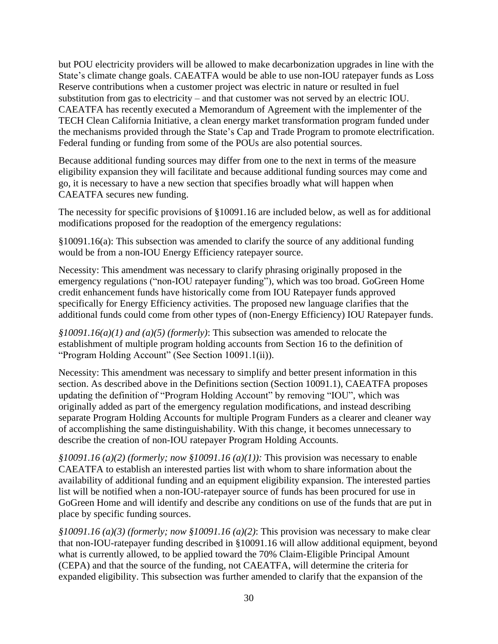but POU electricity providers will be allowed to make decarbonization upgrades in line with the State's climate change goals. CAEATFA would be able to use non-IOU ratepayer funds as Loss Reserve contributions when a customer project was electric in nature or resulted in fuel substitution from gas to electricity – and that customer was not served by an electric IOU. CAEATFA has recently executed a Memorandum of Agreement with the implementer of the TECH Clean California Initiative, a clean energy market transformation program funded under the mechanisms provided through the State's Cap and Trade Program to promote electrification. Federal funding or funding from some of the POUs are also potential sources.

Because additional funding sources may differ from one to the next in terms of the measure eligibility expansion they will facilitate and because additional funding sources may come and go, it is necessary to have a new section that specifies broadly what will happen when CAEATFA secures new funding.

The necessity for specific provisions of §10091.16 are included below, as well as for additional modifications proposed for the readoption of the emergency regulations:

§10091.16(a): This subsection was amended to clarify the source of any additional funding would be from a non-IOU Energy Efficiency ratepayer source.

Necessity: This amendment was necessary to clarify phrasing originally proposed in the emergency regulations ("non-IOU ratepayer funding"), which was too broad. GoGreen Home credit enhancement funds have historically come from IOU Ratepayer funds approved specifically for Energy Efficiency activities. The proposed new language clarifies that the additional funds could come from other types of (non-Energy Efficiency) IOU Ratepayer funds.

*§10091.16(a)(1) and (a)(5) (formerly)*: This subsection was amended to relocate the establishment of multiple program holding accounts from Section 16 to the definition of "Program Holding Account" (See Section 10091.1(ii)).

Necessity: This amendment was necessary to simplify and better present information in this section. As described above in the Definitions section (Section 10091.1), CAEATFA proposes updating the definition of "Program Holding Account" by removing "IOU", which was originally added as part of the emergency regulation modifications, and instead describing separate Program Holding Accounts for multiple Program Funders as a clearer and cleaner way of accomplishing the same distinguishability. With this change, it becomes unnecessary to describe the creation of non-IOU ratepayer Program Holding Accounts.

*§10091.16 (a)(2) (formerly; now §10091.16 (a)(1)):* This provision was necessary to enable CAEATFA to establish an interested parties list with whom to share information about the availability of additional funding and an equipment eligibility expansion. The interested parties list will be notified when a non-IOU-ratepayer source of funds has been procured for use in GoGreen Home and will identify and describe any conditions on use of the funds that are put in place by specific funding sources.

*§10091.16 (a)(3) (formerly; now §10091.16 (a)(2)*: This provision was necessary to make clear that non-IOU-ratepayer funding described in §10091.16 will allow additional equipment, beyond what is currently allowed, to be applied toward the 70% Claim-Eligible Principal Amount (CEPA) and that the source of the funding, not CAEATFA, will determine the criteria for expanded eligibility. This subsection was further amended to clarify that the expansion of the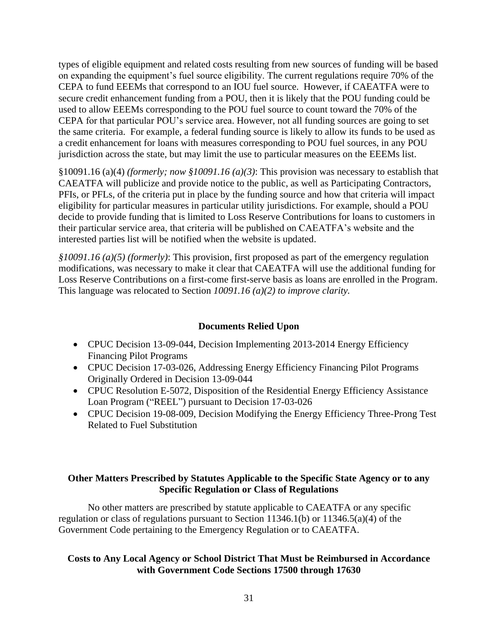types of eligible equipment and related costs resulting from new sources of funding will be based on expanding the equipment's fuel source eligibility. The current regulations require 70% of the CEPA to fund EEEMs that correspond to an IOU fuel source. However, if CAEATFA were to secure credit enhancement funding from a POU, then it is likely that the POU funding could be used to allow EEEMs corresponding to the POU fuel source to count toward the 70% of the CEPA for that particular POU's service area. However, not all funding sources are going to set the same criteria. For example, a federal funding source is likely to allow its funds to be used as a credit enhancement for loans with measures corresponding to POU fuel sources, in any POU jurisdiction across the state, but may limit the use to particular measures on the EEEMs list.

§10091.16 (a)(4) *(formerly; now §10091.16 (a)(3)*: This provision was necessary to establish that CAEATFA will publicize and provide notice to the public, as well as Participating Contractors, PFIs, or PFLs, of the criteria put in place by the funding source and how that criteria will impact eligibility for particular measures in particular utility jurisdictions. For example, should a POU decide to provide funding that is limited to Loss Reserve Contributions for loans to customers in their particular service area, that criteria will be published on CAEATFA's website and the interested parties list will be notified when the website is updated.

*§10091.16 (a)(5) (formerly)*: This provision, first proposed as part of the emergency regulation modifications, was necessary to make it clear that CAEATFA will use the additional funding for Loss Reserve Contributions on a first-come first-serve basis as loans are enrolled in the Program. This language was relocated to Section *10091.16 (a)(2) to improve clarity.*

# **Documents Relied Upon**

- CPUC Decision 13-09-044, Decision Implementing 2013-2014 Energy Efficiency Financing Pilot Programs
- CPUC Decision 17-03-026, Addressing Energy Efficiency Financing Pilot Programs Originally Ordered in Decision 13-09-044
- CPUC Resolution E-5072, Disposition of the Residential Energy Efficiency Assistance Loan Program ("REEL") pursuant to Decision 17-03-026
- CPUC Decision 19-08-009, Decision Modifying the Energy Efficiency Three-Prong Test Related to Fuel Substitution

# **Other Matters Prescribed by Statutes Applicable to the Specific State Agency or to any Specific Regulation or Class of Regulations**

No other matters are prescribed by statute applicable to CAEATFA or any specific regulation or class of regulations pursuant to Section 11346.1(b) or 11346.5(a)(4) of the Government Code pertaining to the Emergency Regulation or to CAEATFA.

# **Costs to Any Local Agency or School District That Must be Reimbursed in Accordance with Government Code Sections 17500 through 17630**